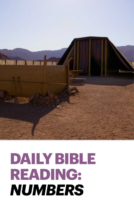

# **DAILY BIBLE READING:**  *NUMBERS*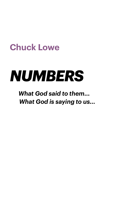## **Chuck Lowe**

# *NUMBERS*

*What God said to them... What God is saying to us...*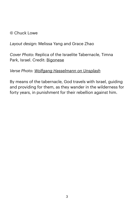#### © Chuck Lowe

#### *Layout design:* Melissa Yang and Grace Zhao

*Cover Photo:* Replica of the Israelite Tabernacle, Timna Park, Israel. Credit: [Bigonese](https://commons.wikimedia.org/wiki/Category:Timna_tabernacle#/media/File%3ATabernacle_timna.jpg)

#### *Verse Photo: [Wolfgang Hasselmann on Unsplash](https://unsplash.com/photos/pdzQ1cAdftk)*

By means of the tabernacle, God travels with Israel, guiding and providing for them, as they wander in the wilderness for forty years, in punishment for their rebellion against him.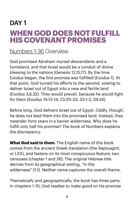## DAY 1 **WHEN GOD DOES NOT FULFILL HIS COVENANT PROMISES**

#### [Numbers 1](https://www.biblegateway.com/passage/?search=numbers+1-36&version=NIV)-36 Overview

God promised Abraham myriad descendants and a homeland, and that Israel would be a conduit of divine blessing to the nations (Genesis 12,15,17). By the time Exodus began, the first promise was fulfilled (Exodus 1). At that point, God turned his efforts to the second, vowing to deliver Israel out of Egypt into a new and fertile land (Exodus 3,6,32). They would prevail, because he would fight for them (Exodus 14:13-14; 23:20-33; 33:1-2; 34:24).

Before long, God delivers Israel out of Egypt. Oddly, though, he does not lead them into the promised land. Instead, they meander forty years in a barren wilderness. Why does he fulfill only half his promise? The book of Numbers explains the discrepancy.

*What God said to them.* The English name of this book comes from the ancient Greek translation (the Septuagint, or LXX), and fastens on its most conspicuous feature: two censuses (chapter 1 and 26). The original Hebrew title derives from its geographical setting, "In the wilderness" (1:1). Neither name captures the overall theme.

Thematically and geographically, the book has three parts. In chapters 1-10, God readies to make good on his promise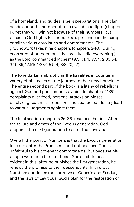of a homeland, and guides Israel's preparations. The clan heads count the number of men available to fight (chapter 1). Yet they will win not because of their numbers, but because God fights for them. God's presence in the camp entails various corollaries and commitments. The groundwork takes nine chapters (chapters 2-10). During each step of preparation, "the Israelites did everything just as the Lord commanded Moses" (9:5; cf. 1:19,54; 2:33,34; 3:16,39,42,51; 4:37,49; 5:4; 8:3,20,22).

The tone darkens abruptly as the Israelites encounter a variety of obstacles on the journey to their new homeland. The entire second part of the book is a litany of rebellions against God and punishments by him. In chapters 11-25, complaints over food, personal attacks on Moses, paralyzing fear, mass rebellion, and sex-fueled idolatry lead to various judgments against them.

The final section, chapters 26-36, resumes the first. After the failure and death of the Exodus generation, God prepares the next generation to enter the new land.

Overall, the point of Numbers is that the Exodus generation failed to enter the Promised Land not because God is unfaithful to his covenant commitments, but because his people were unfaithful to theirs. God's faithfulness is evident in this: after he punishes the first generation, he renews the promise to their descendants. In this way, Numbers continues the narrative of Genesis and Exodus, and the laws of Leviticus. God's plan for the restoration of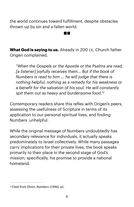the world continues toward fulfillment, despite obstacles thrown up by sin and a fallen world.

**What God is saying to us.** Already in 200 CE, Church father Origen complained,

<span id="page-5-1"></span>*"When the Gospels or the Apostle or the Psalms are read, [a listener] joyfully receives them... But if the book of Numbers is read to him ... he will judge that there is nothing helpful, nothing as a remedy for his weakness or a benefit for the salvation of his soul. He will constantly spit them out as heavy and burdensome food." [1](#page-5-0)*

Contemporary readers share this reflex with Origen's peers, assessing the usefulness of Scripture in terms of its application to our personal spiritual lives, and finding Numbers unhelpful.

While the original message of Numbers undoubtedly has secondary relevance for individuals, it actually speaks predominately to Israel collectively. While many passages carry implications for their private lives, the book speaks primarily to their place in the second stage of God's mission; specifically, his promise to provide a national homeland.

<span id="page-5-0"></span><sup>&</sup>lt;sup>[1](#page-5-1)</sup> Cited from Olson, *Numbers* (1996), p1.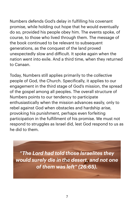Numbers defends God's delay in fulfilling his covenant promise, while holding out hope that he would eventually do so, provided his people obey him. The events spoke, of course, to those who lived through them. The message of the book continued to be relevant to subsequent generations, as the conquest of the land proved unexpectedly slow and dificult. It spoke again when the nation went into exile. And a third time, when they returned to Canaan.

Today, Numbers still applies primarily to the collective people of God, the Church. Specifically, it applies to our engagement in the third stage of God's mission, the spread of the gospel among all peoples. The overall structure of Numbers points to our tendency to participate enthusiastically when the mission advances easily, only to rebel against God when obstacles and hardship arise, provoking his punishment, perhaps even forfeiting participation in the fulfillment of his promise. We must not respond to struggles as Israel did, lest God respond to us as he did to them.

*"The Lord had told those Israelites they would surely die in the desert, and not one of them was left" (26:65).*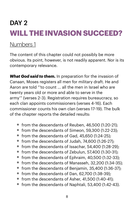# DAY<sub>2</sub> **WILL THE INVASION SUCCEED?**

## [Numbers 1](https://www.biblegateway.com/passage/?search=numbers+1&version=NIV)

The content of this chapter could not possibly be more obvious. Its point, however, is not readily apparent. Nor is its contemporary relevance.

*What God said to them.* In preparation for the invasion of Canaan, Moses registers all men for military draft. He and Aaron are told "'to count ... all the men in Israel who are twenty years old or more and able to serve in the army'" (verses 2-3). Registration requires bureaucracy, so each clan appoints commissioners (verses 4-16). Each commissioner counts his own clan (verses 17-19). The bulk of the chapter reports the detailed results:

- from the descendants of Reuben, 46,500 (1:20-21);
- from the descendants of Simeon, 59,300 (1:22-23);
- from the descendants of Gad, 45,650 (1:24-25);
- from the descendants of Judah, 74,600 (1:26-27);
- from the descendants of Issachar, 54,400 (1:28-29);
- from the descendants of Zebulun, 57,400 (1:30-31);
- from the descendants of Ephraim, 40,500 (1:32-33);
- from the descendants of Manasseh, 32,200 (1:34-35);
- from the descendants of Benjamin, 35,400 (1:36-37);
- from the descendants of Dan, 62,700 (1:38-39);
- from the descendants of Asher, 41,500 (1:40-41);
- from the descendants of Naphtali, 53,400 (1:42-43).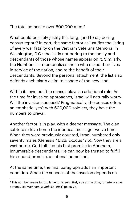<span id="page-8-1"></span>The total comes to over 600,000 men.[2](#page-8-0)

What could possibly justify this long, (and to us) boring census report? In part, the same factor as justifies the listing of every war fatality on the Vietnam Veterans Memorial in Washington, D.C.: the list is not boring to the family and descendants of those whose names appear on it. Similarly, the Numbers list memorializes those who risked their lives in service of the nation, and to the benefit of their descendants. Beyond the personal attachment, the list also defends each clan's claim to a share of the new land.

Within its own era, the census plays an additional role. As the time for invasion approaches, Israel will naturally worry: Will the invasion succeed? Pragmatically, the census offers an emphatic 'yes'; with 600,000 soldiers, they have the numbers to prevail.

Another factor is in play, with a deeper message. The clan subtotals drive home the identical message twelve times. When they were previously counted, Israel numbered only seventy males (Genesis 46:26; Exodus 1:15). Now they are a vast horde. God fulfilled his first promise to Abraham, innumerable descendants. He can now be trusted to fulfill his second promise, a national homeland.

At the same time, the final paragraph adds an important condition. Since the success of the invasion depends on

<span id="page-8-0"></span> $2$  This number seems far too large for Israel's likely size at the time; for interpretive options, see Wenham, *Numbers* (1981) pp 68-76.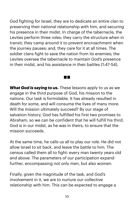God fighting for Israel, they are to dedicate an entire clan to preserving their national relationship with him, and securing his presence in their midst. In charge of the tabernacle, the Levites perform three roles: they carry the structure when in transit; they camp around it to prevent encroachment when the journey pauses; and, they care for it at all times. The soldier clans fight to save the nation from its enemies; the Levites oversee the tabernacle to maintain God's presence in their midst, and his assistance in their battles (1:47-54).

*What God is saying to us.* These lessons apply to us as we engage in the third purpose of God, his mission to the nations. Our task is formidable. It has already resulted in death for some, and will consume the lives of many more. Will the mission ultimately succeed? By our stage of salvation history, God has fulfilled his first two promises to Abraham, so we can be confident that he will fulfill his third. God is in our midst, as he was in theirs, to ensure that the mission succeeds.

a di S

At the same time, he calls us all to play our role. He did not allow Israel to sit back, and leave the battle to him. The census called them all to fight: every man twenty years old and above. The parameters of our participation expand further, encompassing not only men, but also women.

Finally, given the magnitude of the task, and God's involvement in it, we are to nurture our collective relationship with him. This can be expected to engage a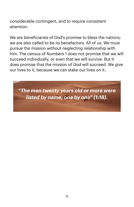considerable contingent, and to require consistent attention.

We are beneficiaries of God's promise to bless the nations; we are also called to be its benefactors. All of us. We must pursue the mission without neglecting relationship with him. The census of Numbers 1 does not promise that we will succeed individually, or even that we will survive. But it does promise that the mission of God will succeed. We give our lives to it, because we can stake our lives on it.

*"The men twenty years old or more were listed by name, one by one" (1:18).*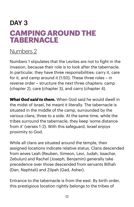## DAY 3 **CAMPING AROUND THE TABERNACLE**

#### [Numbers 2](https://www.biblegateway.com/passage/?search=numbers+2&version=NIV)

Numbers 1 stipulates that the Levites are not to fight in the invasion, because their role is to look after the tabernacle. In particular, they have three responsibilities: carry it, care for it, and camp around it (1:50). These three roles – in reverse order – structure the next three chapters: camp (chapter 2), care (chapter 3), and carry (chapter 4).

*What God said to them.* When God said he would dwell in the midst of Israel, he meant it literally. The tabernacle is situated in the middle of the camp, surrounded by the various clans, three to a side. At the same time, while the tribes surround the tabernacle, they keep 'some distance from it' (verses 1-2). With this safeguard, Israel enjoys proximity to God.

While all clans are situated around the temple, their assigned locations indicate relative status. Clans descended from wives Leah (Reuben, Simeon, Levi, Judah, Issachar, Zebulun) and Rachel (Joseph, Benjamin) generally take precedence over those descended from servants Bilhah (Dan, Naphtali) and Zilpah (Gad, Asher).

Entrance to the tabernacle is from the east. By birth order, this prestigious location rightly belongs to the tribes of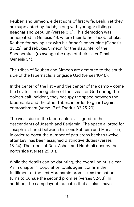Reuben and Simeon, eldest sons of first wife, Leah. Yet they are supplanted by Judah, along with younger siblings, Issachar and Zebulun (verses 3-9). This demotion was anticipated in Genesis 49, where their father Jacob rebukes Reuben for having sex with his father's concubine (Genesis 35:22), and rebukes Simeon for the slaughter of the Shechemites (to avenge the rape of their sister Dinah, Genesis 34).

The tribes of Reuben and Simeon are demoted to the south side of the tabernacle, alongside Gad (verses 10-16).

In the center of the list – and the center of the camp – come the Levites. In recognition of their zeal for God during the golden-calf incident, they occupy the space between the tabernacle and the other tribes, in order to guard against encroachment (verse 17 cf. Exodus 32:25-29).

The west side of the tabernacle is assigned to the descendants of Joseph and Benjamin. The space allotted for Joseph is shared between his sons Ephraim and Manasseh, in order to boost the number of patriarchs back to twelve, after Levi has been assigned distinctive duties (verses 18-24). The tribes of Dan, Asher, and Naphtali occupy the north side (verses 25-31).

While the details can be daunting, the overall point is clear. As in chapter 1, population totals again confirm the fulfillment of the first Abrahamic promise, as the nation turns to pursue the second promise (verses 32-33). In addition, the camp layout indicates that all clans have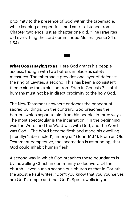proximity to the presence of God within the tabernacle, while keeping a respectful – and safe – distance from it. Chapter two ends just as chapter one did: "The Israelites did everything the Lord commanded Moses" (verse 34 cf. 1:54).

**Contract** 

*What God is saying to us.* Here God grants his people access, though with two buffers in place as safety measures. The tabernacle provides one layer of defense; the ring of Levites, a second. This has been a consistent theme since the exclusion from Eden in Genesis 3: sinful humans must not be in direct proximity to the holy God.

The New Testament nowhere endorses the concept of sacred buildings. On the contrary, God breaches the barriers which separate him from his people, in three ways. The most spectacular is the incarnation: "In the beginning was the Word, and the Word was with God, and the Word was God... The Word became flesh and made his dwelling [literally: 'tabernacled'] among us" (John 1:1,14). From an Old Testament perspective, the incarnation is astounding, that God could inhabit human flesh.

A second way in which God breaches these boundaries is by indwelling Christian community collectively. Of the church – even such a scandalous church as that in Corinth – the apostle Paul writes: "Don't you know that you yourselves are God's temple and that God's Spirit dwells in your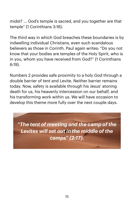midst? ... God's temple is sacred, and you together are that temple" (1 Corinthians 3:16).

The third way in which God breaches these boundaries is by indwelling individual Christians, even such scandalous believers as those in Corinth. Paul again writes: "Do you not know that your bodies are temples of the Holy Spirit, who is in you, whom you have received from God?" (1 Corinthians 6:19).

Numbers 2 provides safe proximity to a holy God through a double barrier of tent and Levite. Neither barrier remains today. Now, safety is available through his Jesus' atoning death for us, his heavenly intercession on our behalf, and his transforming work within us. We will have occasion to develop this theme more fully over the next couple days.

*"The tent of meeting and the camp of the Levites will set out in the middle of the camps" (2:17).*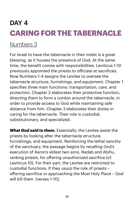# DAY 4 **CARING FOR THE TABERNACLE**

## [Numbers 3](https://www.biblegateway.com/passage/?search=numbers+3&version=NIV)

For Israel to have the tabernacle in their midst is a great blessing, as it houses the presence of God. At the same time, the benefit comes with responsibilities. Leviticus 1-10 previously appointed the priests to oficiate at sacrifices. Now Numbers 1-4 assigns the Levites to oversee the tabernacle structure, furnishings, and equipment. Chapter 1 specifies three main functions: transportation, care, and protection. Chapter 2 elaborates their protective function, directing them to form a cordon around the tabernacle, in order to provide access to God while maintaining safe distance from him. Chapter 3 elaborates their duties in caring for the tabernacle. Their role is custodial, substitutionary, and specialized.

*What God said to them.* Essentially, the Levites assist the priests by looking after the tabernacle structure, furnishings, and equipment. Reinforcing the lethal sanctity of the sanctuary, the passage begins by recalling God's execution of Aaron's eldest two sons, Nadab and Abihu, ranking priests, for offering unauthorized sacrifice (cf. Leviticus 10). For their part, the Levites are restricted to custodial functions. If they usurp the role of priests – offering sacrifice or approaching the Most Holy Place – God will kill them (verses 1-10).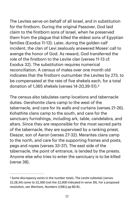The Levites serve on behalf of all Israel, and in substitution for the firstborn. During the original Passover, God laid claim to the firstborn sons of Israel, when he preserved them from the plague that killed the eldest sons of Egyptian families (Exodus 11-13). Later, during the golden calf incident, the clan of Levi zealously answered Moses' call to avenge the honor of God. As reward, God transferred the role of the firstborn to the Levite clan (verses 11-13 cf. Exodus 32). The substitution requires numerical reconciliation. A census of males over one month old indicates that the firstborn outnumber the Levites by 273, to be compensated at the rate of five shekels each, for a total donation of 1,365 shekels (verses 14-20,39-51). [3](#page-16-0)

<span id="page-16-1"></span>The census also tabulates camp locations and tabernacle duties. Gershonite clans camp to the west of the tabernacle, and care for its walls and curtains (verses 21-26). Kohathite clans camp to the south, and care for the sanctuary furnishings, including ark, table, candelabra, and altars. Since they are responsible for the most sacred parts of the tabernacle, they are supervised by a ranking priest, Eleazar, son of Aaron (verses 27-32). Merarites clans camp to the north, and care for the supporting frames and posts, pegs and ropes (verses 33-37). The east side of the tabernacle, the point of entrance, is tended by the priests. Anyone else who tries to enter the sanctuary is to be killed (verse 38).

<span id="page-16-0"></span><sup>&</sup>lt;sup>[3](#page-16-1)</sup> Some discrepancy exists in the number totals. The Levite subtotals (verses 22,28,34) come to 22,300 (not the 22,000 indicated in verse 39). For a proposed resolution, see Wenham, *Numbers* (1981) pp 80-81.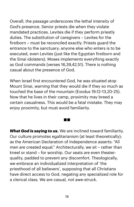Overall, the passage underscores the lethal intensity of God's presence. Senior priests die when they violate mandated practices. Levites die if they perform priestly duties. The substitution of caregivers – Levites for the firstborn – must be reconciled exactly. Priests guard the entrance to the sanctuary; anyone else who enters is to be executed, even Levites (just like the Egyptian firstborn and the Sinai idolaters). Moses implements everything exactly as God commands (verses 16,39,42,51). There is nothing casual about the presence of God.

When Israel first encountered God, he was situated atop Mount Sinai, warning that they would die if they so much as touched the base of the mountain (Exodus 19:12-13,20-25). Now that he lives in their camp, proximity may breed a certain casualness. This would be a fatal mistake. They may enjoy proximity, but must avoid familiarity.

#### a di S

*What God is saying to us.* We are inclined toward familiarity. Our culture promotes egalitarianism (at least theoretically); as the American Declaration of Independence asserts: "All men are created equal." Architecturally, we sit – rather than kneel or stand – for worship. Our seats are even theaterquality, padded to prevent any discomfort. Theologically, we embrace an individualized interpretation of 'the priesthood of all believers', supposing that all Christians have direct access to God, negating any specialized role for a clerical class. We are casual, not awe-struck.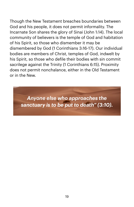Though the New Testament breaches boundaries between God and his people, it does not permit informality. The Incarnate Son shares the glory of Sinai (John 1:14). The local community of believers is the temple of God and habitation of his Spirit, so those who dismember it may be dismembered by God (1 Corinthians 3:16-17). Our individual bodies are members of Christ, temples of God, indwelt by his Spirit, so those who defile their bodies with sin commit sacrilege against the Trinity (1 Corinthians 6:15). Proximity does not permit nonchalance, either in the Old Testament or in the New.

*Anyone else who approaches the sanctuary is to be put to death" (3:10).*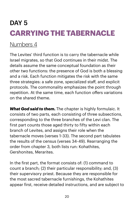# DAY 5 **CARRYING THE TABERNACLE**

### [Numbers 4](https://www.biblegateway.com/passage/?search=numbers+4&version=NIV)

The Levites' third function is to carry the tabernacle while Israel migrates, so that God continues in their midst. The details assume the same conceptual foundation as their other two functions: the presence of God is both a blessing and a risk. Each function mitigates the risk with the same three strategies: a safe zone, specialized staff, and explicit protocols. The commonality emphasizes the point through repetition. At the same time, each function offers variations on the shared theme.

*What God said to them.* The chapter is highly formulaic. It consists of two parts, each consisting of three subsections, corresponding to the three branches of the Levi clan. The first part counts those aged thirty to fifty within each branch of Levites, and assigns their role when the tabernacle moves (verses 1-33). The second part tabulates the results of the census (verses 34-49). Rearranging the order from chapter 3, both lists run: Kohathites, Gershonites, Merarites.

In the first part, the format consists of: (1) command to count a branch; (2) their particular responsibility; and, (3) their supervisory priest. Because they are responsible for the most sacred tabernacle furnishings, the Kohathites appear first, receive detailed instructions, and are subject to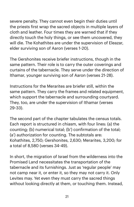severe penalty. They cannot even begin their duties until the priests first wrap the sacred objects in multiple layers of cloth and leather. Four times they are warned that if they directly touch the holy things, or see them uncovered, they will die. The Kohathites are under the supervision of Eleazar, elder surviving son of Aaron (verses 1-20).

The Gershonites receive briefer instructions, though in the same pattern. Their role is to carry the outer coverings and curtains of the tabernacle. They serve under the direction of Ithamar, younger surviving son of Aaron (verses 21-28).

Instructions for the Merarites are briefer still, within the same pattern. They carry the frames and related equipment, which support the tabernacle and surrounding courtyard. They, too, are under the supervision of Ithamar (verses 29-33).

The second part of the chapter tabulates the census totals. Each report is structured in chiasm, with four lines: (a) the counting; (b) numerical total; (b') confirmation of the total; (a') authorization for counting. The subtotals are: Kohathites, 2,750; Gershonites, 2,630; Merarites, 3,200; for a total of 8,580 (verses 34-49).

In short, the migration of Israel from the wilderness into the Promised Land necessitates the transportation of the tabernacle and its furnishings. Just as 'regular people' may not camp near it, or enter it, so they may not carry it. Only Levites may. Yet even they must carry the sacred things without looking directly at them, or touching them. Instead,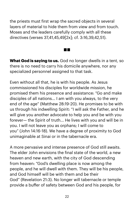the priests must first wrap the sacred objects in several layers of material to hide them from view and from touch. Moses and the leaders carefully comply with all these directives (verses 37,41,45,49[2x]; cf. 3:16,39,42,51).

**What God is saying to us.** God no longer dwells in a tent, so there is no need to carry his domicile anywhere, nor any specialized personnel assigned to that task.

Even without all that, he is with his people. As Jesus commissioned his disciples for worldwide mission, he promised them his presence and assistance: "Go and make disciples of all nations... I am with you always, to the very end of the age" (Matthew 28:19-20). He promises to be with us through his indwelling Spirit: "I will ask the Father, and he will give you another advocate to help you and be with you forever— the Spirit of truth... He lives with you and will be in you. I will not leave you as orphans; I will come to you" (John 14:16-18). We have a degree of proximity to God unimaginable at Sinai or in the tabernacle era.

A more pervasive and intense presence of God still awaits. The elder John envisions the final state of the world, a new heaven and new earth, with the city of God descending from heaven: "God's dwelling place is now among the people, and he will dwell with them. They will be his people, and God himself will be with them and be their God" (Revelation 21:3). No longer will tabernacle or temple provide a buffer of safety between God and his people, for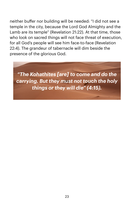neither buffer nor building will be needed: "I did not see a temple in the city, because the Lord God Almighty and the Lamb are its temple" (Revelation 21:22). At that time, those who look on sacred things will not face threat of execution, for all God's people will see him face-to-face (Revelation 22:4). The grandeur of tabernacle will dim beside the presence of the glorious God.

*"The Kohathites [are] to come and do the carrying. But they must not touch the holy things or they will die" (4:15).*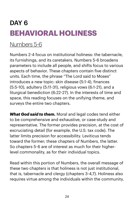## DAY 6 **BEHAVIORAL HOLINESS**

## [Numbers 5](https://www.biblegateway.com/passage/?search=num+5-6&version=NIV)-6

Numbers 2-4 focus on institutional holiness: the tabernacle, its furnishings, and its caretakers. Numbers 5-6 broadens parameters to include all people, and shifts focus to various aspects of behavior. These chapters contain five distinct units. Each time, the phrase "The Lord said to Moses" introduces a new topic: skin disease (5:1-4), finances (5:5-10), adultery (5:11-31), religious vows (6:1-21), and a liturgical benediction (6:22-27). In the interests of time and space, this reading focuses on the unifying theme, and surveys the entire two chapters.

*What God said to them.* Moral and legal codes tend either to be comprehensive and exhaustive, or case-study and representative. The former provides precision, at the cost of excruciating detail (for example, the U.S. tax code). The latter limits precision for accessibility. Leviticus tends toward the former; these chapters of Numbers, the latter. So chapters 5-6 are of interest as much for their higherlevel commonality, as for their individual topics.

Read within this portion of Numbers, the overall message of these two chapters is that holiness is not just institutional, that is, tabernacle and clergy (chapters 3-4,7). Holiness also requires virtue among the individuals within the community.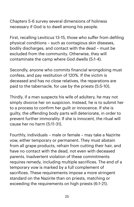Chapters 5-6 survey several dimensions of holiness necessary if God is to dwell among his people.

First, recalling Leviticus 13-15, those who suffer from defiling physical conditions – such as contagious skin diseases, bodily discharges, and contact with the dead – must be excluded from the community. Otherwise, they will contaminate the camp where God dwells (5:1-4).

Secondly, anyone who commits financial wrongdoing must confess, and pay restitution of 120%. If the victim is deceased and has no close relatives, the reparations are paid to the tabernacle, for use by the priests (5:5-10).

Thirdly, if a man suspects his wife of adultery, he may not simply divorce her on suspicion. Instead, he is to submit her to a process to confirm her guilt or innocence. If she is guilty, the offending body parts will deteriorate, in order to prevent further immorality. If she is innocent, the ritual will cause her no harm (5:11-31).

Fourthly, individuals – male or female – may take a Nazirite vow, either temporary or permanent. They must abstain from all grape products, refrain from cutting their hair, and have no contact with the dead, not even with deceased parents. Inadvertent violation of these commitments requires remedy, including multiple sacrifices. The end of a temporary vow is marked by a full complement of sacrifices. These requirements impose a more stringent standard on the Nazirite than on priests, matching or exceeding the requirements on high priests (6:1-21).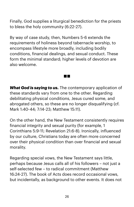Finally, God supplies a liturgical benediction for the priests to bless the holy community (6:22-27).

By way of case study, then, Numbers 5-6 extends the requirements of holiness beyond tabernacle worship, to encompass lifestyle more broadly, including bodily conditions, financial dealings, and sexual conduct. These form the minimal standard; higher levels of devotion are also welcome.

*What God is saying to us.* The contemporary application of these standards vary from one to the other. Regarding debilitating physical conditions, Jesus cured some, and abrogated others, so these are no longer disqualifying (cf. Mark 1:40-44; 7:14-23; Matthew 15:11).

**THE REAL** 

On the other hand, the New Testament consistently requires financial integrity and sexual purity (for example, 1 Corinthians 5:9-11; Revelation 21:6-8). Ironically, influenced by our culture, Christians today are often more concerned over their physical condition than over financial and sexual morality.

Regarding special vows, the New Testament says little, perhaps because Jesus calls all of his followers – not just a self-selected few – to radical commitment (Matthew 16:24-27). The book of Acts does record occasional vows, but incidentally, as background to other events. It does not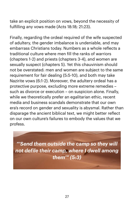take an explicit position on vows, beyond the necessity of fulfilling any vows made (Acts 18:18; 21:23).

Finally, regarding the ordeal required of the wife suspected of adultery, the gender imbalance is undeniable, and may embarrass Christians today. Numbers as a whole reflects a traditional culture where men fill the ranks of warriors (chapters 1-2) and priests (chapters 3-4), and women are sexually suspect (chapters 5). Yet this chauvinism should not be overstated: men and women are subject to the same requirement for fair dealing (5:5-10), and both may take Nazirite vows (6:1-2). Moreover, the adultery ordeal has a protective purpose, excluding more extreme remedies – such as divorce or execution – on suspicion alone. Finally, while we theoretically prefer an egalitarian ethic, recent media and business scandals demonstrate that our own era's record on gender and sexuality is abysmal. Rather than disparage the ancient biblical text, we might better reflect on our own culture's failures to embody the values that we profess.

*"'Send them outside the camp so they will not defile their camp, where I dwell among them'" (5:3)*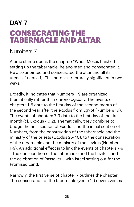## DAY<sub>7</sub> **CONSECRATING THE TABERNACLE AND ALTAR**

#### [Numbers 7](https://www.biblegateway.com/passage/?search=numbers+7&version=NIV)

A time stamp opens the chapter: "When Moses finished setting up the tabernacle, he anointed and consecrated it. He also anointed and consecrated the altar and all its utensils" (verse 1). This note is structurally significant in two ways.

Broadly, it indicates that Numbers 1-9 are organized thematically rather than chronologically. The events of chapters 1-6 date to the first day of the second month of the second year after the exodus from Egypt (Numbers 1:1). The events of chapters 7-9 date to the first day of the first month (cf. Exodus 40:2). Thematically, they combine to bridge the final section of Exodus and the initial section of Numbers, from the construction of the tabernacle and the ministry of the priests (Exodus 25-40), to the consecration of the tabernacle and the ministry of the Levites (Numbers 1-9). An additional effect is to link the events of chapters 7-9 – the consecration of the tabernacle and the Levites, and the celebration of Passover – with Israel setting out for the Promised Land.

Narrowly, the first verse of chapter 7 outlines the chapter. The consecration of the tabernacle (verse 1a) covers verses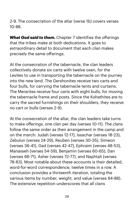2-9. The consecration of the altar (verse 1b) covers verses 10-88.

*What God said to them.* Chapter 7 identifies the offerings that the tribes make at both dedications. It goes to extraordinary detail to document that each clan makes precisely the same offerings.

At the consecration of the tabernacle, the clan leaders collectively donate six carts with twelve oxen, for the Levites to use in transporting the tabernacle on the journey into the new land. The Gershonites receive two carts and four bulls, for carrying the tabernacle tents and curtains. The Merarites receive four carts with eight bulls, for moving the tabernacle frame and posts. Since the Kohathites are to carry the sacred furnishings on their shoulders, they receive no cart or bulls (verses 2-9).

At the consecration of the altar, the clan leaders take turns to make offerings, one clan per day (verses 10-11). The clans follow the same order as their arrangement in the camp and on the march: Judah (verses 12-17), Issachar (verses 18-23), Zebulun (verses 24-29), Reuben (verses 30-35), Simeon (verses 36-41), Gad (verses 42-47), Ephraim (verses 48-53), Manasseh (verses 54-59), Benjamin (verses 60-65), Dan (verses 66-71), Asher (verses 72-77), and Naphtali (verses 78-83). Most notable about these accounts is their detailed, word-for-word correspondence, twelve times in a row. A conclusion provides a thirteenth iteration, totaling the various items by number, weight, and value (verses 84-88). The extensive repetition underscores that all clans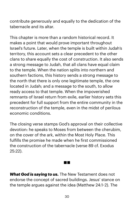contribute generously and equally to the dedication of the tabernacle and its altar.

This chapter is more than a random historical record. It makes a point that would prove important throughout Israel's future. Later, when the temple is built within Judah's territory, this account sets a clear precedent to the other clans to share equally the cost of construction. It also sends a strong message to Judah, that all clans have equal claim to the temple. When the nation splits into northern and southern factions, this history sends a strong message to the north that there is only one legitimate temple, the one located in Judah; and a message to the south, to allow ready access to that temple. When the impoverished remnants of Israel return from exile, earlier history sets this precedent for full support from the entire community in the reconstruction of the temple, even in the midst of perilous economic conditions.

The closing verse stamps God's approval on their collective devotion: he speaks to Moses from between the cherubim, on the cover of the ark, within the Most Holy Place. This fulfills the promise he made when he first commissioned the construction of the tabernacle (verse 89 cf. Exodus 25:22).

*What God is saying to us.* The New Testament does not endorse the concept of sacred buildings. Jesus' stance on the temple argues against the idea (Matthew 24:1-2). The

and the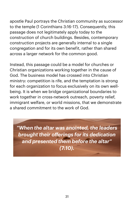apostle Paul portrays the Christian community as successor to the temple (1 Corinthians 3:16-17). Consequently, this passage does not legitimately apply today to the construction of church buildings. Besides, contemporary construction projects are generally internal to a single congregation and for its own benefit, rather than shared across a larger network for the common good.

Instead, this passage could be a model for churches or Christian organizations working together in the cause of God. The business model has crossed into Christian ministry: competition is rife, and the temptation is strong for each organization to focus exclusively on its own wellbeing. It is when we bridge organizational boundaries to work together in cross-network outreach, poverty relief, immigrant welfare, or world missions, that we demonstrate a shared commitment to the work of God.

*"When the altar was anointed, the leaders brought their offerings for its dedication and presented them before the altar" (7:10).*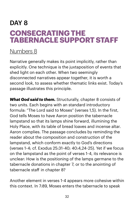## DAY 8 **CONSECRATING THE TABERNACLE SUPPORT STAFF**

#### [Numbers 8](https://www.biblegateway.com/passage/?search=numbers+8&version=NIV)

Narrative generally makes its point implicitly, rather than explicitly. One technique is the juxtaposition of events that shed light on each other. When two seemingly disconnected narratives appear together, it is worth a second look, to assess whether thematic links exist. Today's passage illustrates this principle.

*What God said to them.* Structurally, chapter 8 consists of two units. Each begins with an standard introductory formula: "The Lord said to Moses" (verses 1,5). In the first, God tells Moses to have Aaron position the tabernacle lampstand so that its lamps shine forward, illumining the Holy Place, with its table of bread loaves and incense altar. Aaron complies. The passage concludes by reminding the reader about the composition and construction of the lampstand, which conform exactly to God's directions (verses 1-4; cf. Exodus 25:31-40; 40:4,24-25). Yet if we focus on the lampstand as the point of verses 1-4, its relevance is unclear: How is the positioning of the lamps germane to the tabernacle donations in chapter 7, or to the anointing of tabernacle staff in chapter 8?

Another element in verses 1-4 appears more cohesive within this context. In 7:89, Moses enters the tabernacle to speak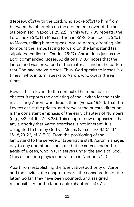(Hebrew: *dbr*) with the Lord, who spoke (*dbr*) to him from between the cherubim on the atonement cover of the ark (as promised in Exodus 25:22). In this way, 7:89 repeats, the Lord spoke (*dbr*) to Moses. Then in 8:1-2, God speaks (*dbr*) to Moses, telling him to speak (*dbr*) to Aaron, directing him to mount the lamps facing forward on the lampstand (as stipulated earlier; cf. Exodus 25:27). Aaron does just as the Lord commanded Moses. Additionally, 8:4 notes that the lampstand was produced of the materials and in the pattern that God had shown Moses. Thus, God speaks to Moses (six times), who, in turn, speaks to Aaron, who obeys (three times).

How is this relevant to the context? The remainder of chapter 8 reports the anointing of the Levites for their role in assisting Aaron, who directs them (verses 19,22). That the Levites assist the priests, and serve at the priests' direction, is the consistent emphasis of the early chapters of Numbers (e.g., 3:32; 4:19,27-28,33). This chapter now emphasizes that any authority that Aaron exercises is not inherent; it is delegated to him by God via Moses (verses 5-8,9,10,12,14, 15-18,23-26; cf. 3:5-9). From the positioning of the lampstand to the service of tabernacle staff, Aaron manages day-to-day operations and staff, but he serves under the aegis of Moses, who in turn serves under the aegis of God. (This distinction plays a central role in Numbers 12.)

Apart from establishing the (derivative) authority of Aaron and the Levites, the chapter reports the consecration of the latter. So far, they have been counted, and assigned responsibility for the tabernacle (chapters 2-4). As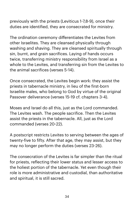previously with the priests (Leviticus 1-7,8-9), once their duties are identified, they are consecrated for ministry.

The ordination ceremony differentiates the Levites from other Israelites. They are cleansed physically through washing and shaving. They are cleansed spiritually through sin, burnt, and grain sacrifices. Laying of hands occurs twice, transferring ministry responsibility from Israel as a whole to the Levites, and transferring sin from the Levites to the animal sacrifices (verses 5-14).

Once consecrated, the Levites begin work: they assist the priests in tabernacle ministry, in lieu of the first-born Israelite males, who belong to God by virtue of the original Passover deliverance (verses 15-19 cf. chapters 3-4).

Moses and Israel do all this, just as the Lord commanded. The Levites wash. The people sacrifice. Then the Levites assist the priests in the tabernacle. All, just as the Lord commanded (verses 20-22).

A postscript restricts Levites to serving between the ages of twenty-five to fifty. After that age, they may assist, but they may no longer perform the duties (verses 23-26).

The consecration of the Levites is far simpler than the ritual for priests, reflecting their lower status and lesser access to the holiest portion of the tabernacle. Yet even though their role is more administrative and custodial, than authoritative and spiritual, it is still sacred.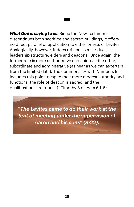*What God is saying to us.* Since the New Testament discontinues both sacrifice and sacred buildings, it offers no direct parallel or application to either priests or Levites. Analogically, however, it does reflect a similar dual leadership structure: elders and deacons. Once again, the former role is more authoritative and spiritual; the other, subordinate and administrative (as near as we can ascertain from the limited data). The commonality with Numbers 8 includes this point: despite their more modest authority and functions, the role of deacon is sacred, and the qualifications are robust (1 Timothy 3 cf. Acts 6:1-6).

a ka

*"The Levites came to do their work at the tent of meeting under the supervision of Aaron and his sons" (8:22).*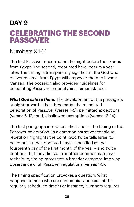## DAY 9 **CELEBRATING THE SECOND PASSOVER**

#### [Numbers 9:1](https://www.biblegateway.com/passage/?search=numbers+9:1-14&version=NIV)-14

The first Passover occurred on the night before the exodus from Egypt. The second, recounted here, occurs a year later. The timing is transparently significant: the God who delivered Israel from Egypt will empower them to invade Canaan. The occasion also provides guidelines for celebrating Passover under atypical circumstances.

*What God said to them.* The development of the passage is straightforward. It has three parts: the mandated celebration of Passover (verses 1-5); permitted exceptions (verses 6-12); and, disallowed exemptions (verses 13-14).

The first paragraph introduces the issue as the timing of the Passover celebration. In a common narrative technique, repetition highlights the point: God twice tells Israel to celebrate 'at the appointed time' – specified as the fourteenth day of the first month of the year – and twice confirms that they did so. In another common narrative technique, timing represents a broader category, implying observance of all Passover regulations (verses 1-5).

The timing specification provokes a question: What happens to those who are ceremonially unclean at the regularly scheduled time? For instance, Numbers requires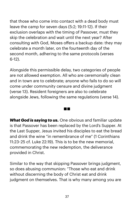that those who come into contact with a dead body must leave the camp for seven days (5:2; 19:11-12). If their exclusion overlaps with the timing of Passover, must they skip the celebration and wait until the next year? After consulting with God, Moses offers a backup date: they may celebrate a month later, on the fourteenth day of the second month, adhering to the same protocols (verses 6-12).

Alongside this permissible delay, two categories of people are not allowed exemption. All who are ceremonially clean and in town are to celebrate; anyone who fails to do so will come under community censure and divine judgment (verse 13). Resident foreigners are also to celebrate alongside Jews, following the same regulations (verse 14).

an pa

*What God is saying to us.* One obvious and familiar update is that Passover has been replaced by the Lord's Supper. At the Last Supper, Jesus invited his disciples to eat the bread and drink the wine "in remembrance of me" (1 Corinthians 11:23-25 cf. Luke 22:19). This is to be the new memorial, commemorating the new redemption, the deliverance provided in Christ.

Similar to the way that skipping Passover brings judgment, so does abusing communion: "Those who eat and drink without discerning the body of Christ eat and drink judgment on themselves. That is why many among you are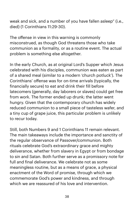weak and sick, and a number of you have fallen asleep" (i.e., died) (1 Corinthians 11:29-30).

The offense in view in this warning is commonly misconstrued, as though God threatens those who take communion as a formality, or as a routine event. The actual problem is something else altogether.

In the early Church, as at original Lord's Supper which Jesus celebrated with his disciples, communion was eaten as part of a shared meal (similar to a modern 'church potluck'). The Corinthians' offense was for on-time arrivals (typically, the financially secure) to eat and drink their fill before latecomers (generally, day laborers or slaves) could get free from work. The former ended up drunk; the latter went hungry. Given that the contemporary church has widely reduced communion to a small piece of tasteless wafer, and a tiny cup of grape juice, this particular problem is unlikely to recur today.

Still, both Numbers 9 and 1 Corinthians 11 remain relevant. The main takeaways include the importance and sanctity of the regular observance of Passover/communion. Both rituals celebrate God's extraordinary grace and mighty deliverance, whether from slavery in Egypt or from bondage to sin and Satan. Both further serve as a promissory note for full and final deliverance. We celebrate not as some meaningless routine, but as a means of grace, a physical enactment of the Word of promise, through which we commemorate God's power and kindness, and through which we are reassured of his love and intervention.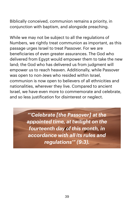Biblically conceived, communion remains a priority, in conjunction with baptism, and alongside preaching.

While we may not be subject to all the regulations of Numbers, we rightly treat communion as important, as this passage urges Israel to treat Passover. For we are beneficiaries of even greater assurances. The God who delivered from Egypt would empower them to take the new land; the God who has delivered us from judgment will empower us to reach heaven. Additionally, while Passover was open to non-Jews who resided within Israel, communion is now open to believers of all ethnicities and nationalities, wherever they live. Compared to ancient Israel, we have even more to commemorate and celebrate, and so less justification for disinterest or neglect.

> *"'Celebrate [the Passover] at the appointed time, at twilight on the fourteenth day of this month, in accordance with all its rules and regulations'" (9:3).*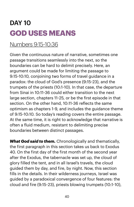# DAY 10 **GOD USES MEANS**

#### [Numbers 9:15](https://www.biblegateway.com/passage/?search=numbers+9:15-10:36&version=NIV)-10:36

Given the continuous nature of narrative, sometimes one passage transitions seamlessly into the next, so the boundaries can be hard to delimit precisely. Here, an argument could be made for limiting the passage to 9:15-10:10, conjoining two forms of travel guidance in a paradox: the cloud of God's presence (9:15-23), and the trumpets of the priests (10:1-10). In that case, the departure from Sinai in 10:11-36 could either transition to the next large section, chapters 11-25, or be the first episode in that section. On the other hand, 10:11-36 reflects the same optimism as chapters 1-9, and includes the guidance theme of 9:15-10:10. So today's reading covers the entire passage. At the same time, it is right to acknowledge that narrative is often a fluid medium, resistant to delimiting precise boundaries between distinct passages.

*What God said to them.* Chronologically and thematically, the first paragraph in this section takes us back to Exodus 40. On the first day of the first month of the second year after the Exodus, the tabernacle was set up, the cloud of glory filled the tent, and in all Israel's travels, the cloud guided them by day, and fire, by night. Now, this section fills in the details. In their wilderness journeys, Israel was guided by a paradoxical convergence of four features: the cloud and fire (9:15-23), priests blowing trumpets (10:1-10),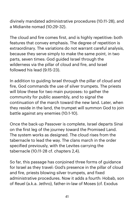divinely mandated administrative procedures (10:11-28), and a Midianite nomad (10:29-32).

The cloud and fire comes first, and is highly repetitive: both features that convey emphasis. The degree of repetition is extraordinary. The variations do not warrant careful analysis, because they serve simply to make the same point, in two parts, seven times: God guided Israel through the wilderness via the pillar of cloud and fire, and Israel followed his lead (9:15-23).

In addition to guiding Israel through the pillar of cloud and fire, God commands the use of silver trumpets. The priests will blow these for two main purposes: to gather the community for public assembly, and to signal the continuation of the march toward the new land. Later, when they reside in the land, the trumpet will summon God to join battle against any enemies (10:1-10).

Once the back-up Passover is complete, Israel departs Sinai on the first leg of the journey toward the Promised Land. The system works as designed. The cloud rises from the tabernacle to lead the way. The clans march in the order specified previously, with the Levites carrying the tabernacle (10:11-28 cf. chapters 2,4).

So far, this passage has conjoined three forms of guidance for Israel as they travel: God's presence in the pillar of cloud and fire, priests blowing silver trumpets, and fixed administrative procedures. Now it adds a fourth: Hobab, son of Reuel (a.k.a. Jethro), father-in-law of Moses (cf. Exodus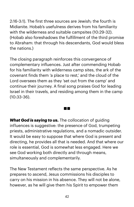2:16-3:1). The first three sources are Jewish; the fourth is Midianite. Hobab's usefulness derives from his familiarity with the wilderness and suitable campsites (10:29-32). (Hobab also foreshadows the fulfillment of the third promise to Abraham: that through his descendants, God would bless the nations.)

The closing paragraph reinforces this convergence of complementary influences. Just after commending Hobab for his familiarity with wilderness camp sites, the ark of the covenant finds them 'a place to rest,' and the cloud of the Lord oversees them as they 'set out from the camp' and continue their journey. A final song praises God for leading Israel in their travels, and residing among them in the camp (10:33-36).

*What God is saying to us.* The collocation of guiding influences is suggestive: the presence of God, trumpeting priests, administrative regulations, and a nomadic outsider. It would be easy to suppose that where God is present and directing, he provides all that is needed. And that where our role is essential, God is somewhat less engaged. Here we see God working both directly and through means, simultaneously and complementarily.

T F

The New Testament reflects the same perspective. As he prepares to ascend, Jesus commissions his disciples to carry on his mission in his absence. They will not be alone, however, as he will give them his Spirit to empower them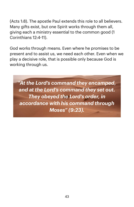(Acts 1:8). The apostle Paul extends this role to all believers. Many gifts exist, but one Spirit works through them all, giving each a ministry essential to the common good (1 Corinthians 12:4-11).

God works through means. Even where he promises to be present and to assist us, we need each other. Even when we play a decisive role, that is possible only because God is working through us.

*"At the Lord's command they encamped, and at the Lord's command they set out. They obeyed the Lord's order, in accordance with his command through Moses" (9:23).*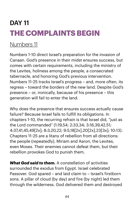# DAY 11 **THE COMPLAINTS BEGIN**

### [Numbers 11](https://www.biblegateway.com/passage/?search=numbers+11&version=NIV)

Numbers 1-10 direct Israel's preparation for the invasion of Canaan. God's presence in their midst ensures success, but comes with certain requirements, including the ministry of the Levites, holiness among the people, a consecrated tabernacle, and honoring God's previous intervention. Numbers 11-25 tracks Israel's progress – and, more often, its regress – toward the borders of the new land. Despite God's presence – or, ironically, because of his presence – this generation will fail to enter the land.

Why does the presence that ensures success actually cause failure? Because Israel fails to fulfill its obligations. In chapters 1-10, the recurring refrain is that Israel did, "just as the Lord commanded" (1:19,54; 2:33,34; 3:16,39,42,51; 4:37,41,45,49[2x]; 8:3,20,22; 9:5,18[2x],20[2x],23[3x]; 10:13). Chapters 11-25 are a litany of rebellion from all directions: the people (repeatedly), Miriam and Aaron, the Levites, even Moses. Their enemies cannot defeat them, but their rebellion provokes God to punish them.

*What God said to them.* A constellation of activities surrounded the exodus from Egypt. Israel celebrated Passover. God spared – and laid claim to – Israel's firstborn sons. A pillar of cloud (by day) and fire (by night) led them through the wilderness. God delivered them and destroyed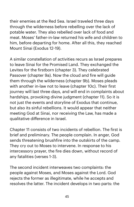their enemies at the Red Sea. Israel traveled three days through the wilderness before rebelling over the lack of potable water. They also rebelled over lack of food and meat. Moses' father-in-law returned his wife and children to him, before departing for home. After all this, they reached Mount Sinai (Exodus 12-19).

A similar constellation of activities recurs as Israel prepares to leave Sinai for the Promised Land. They exchanged the Levites for the firstborn (chapter 3). They celebrated Passover (chapter 9a). Now the cloud and fire will guide them through the wilderness (chapter 9b). Moses pleads with another in-law not to leave (chapter 10c). Their first journey will last three days, and will end in complaints about hardships, provoking divine judgment (chapter 11). So it is not just the events and storyline of Exodus that continue, but also its sinful rebellions. It would appear that neither meeting God at Sinai, nor receiving the Law, has made a qualitative difference in Israel.

Chapter 11 consists of two incidents of rebellion. The first is brief and preliminary. The people complain. In anger, God sends threatening brushfire into the outskirts of the camp. They cry out to Moses to intervene. In response to his intercessory prayer, the fire dies down, without record of any fatalities (verses 1-3).

The second incident interweaves two complaints: the people against Moses, and Moses against the Lord. God rejects the former as illegitimate, while he accepts and resolves the latter. The incident develops in two parts: the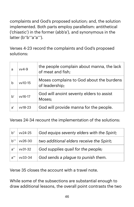complaints and God's proposed solution; and, the solution implemented. Both parts employ parallelism: antithetical ('chiastic') in the former (abb'a'), and synonymous in the latter (b"b"'a"a"').

Verses 4-23 record the complaints and God's proposed solutions:

| a  | $vV4-9$  | the people complain about manna, the lack<br>of meat and fish; |
|----|----------|----------------------------------------------------------------|
| b  | vv10-15  | Moses complains to God about the burdens<br>of leadership;     |
| b' | vv16-17  | God will anoint seventy elders to assist<br>Moses;             |
| a' | $v18-23$ | God will provide manna for the people.                         |

Verses 24-34 recount the implementation of the solutions:

| $b^{\prime\prime}$       | vv24-25 | God equips seventy elders with the Spirit; |
|--------------------------|---------|--------------------------------------------|
| $h^{\prime\prime}$       | vv26-30 | two additional elders receive the Spirit;  |
| $a^{\prime\prime}$       | vv31-32 | God supplies quail for the people;         |
| $a^{\prime\prime\prime}$ | vv33-34 | God sends a plague to punish them.         |

Verse 35 closes the account with a travel note.

While some of the subsections are substantial enough to draw additional lessons, the overall point contrasts the two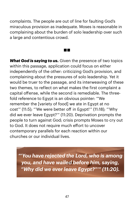complaints. The people are out of line for faulting God's miraculous provision as inadequate. Moses is reasonable in complaining about the burden of solo leadership over such a large and contentious crowd.

*What God is saying to us.* Given the presence of two topics within this passage, application could focus on either independently of the other: criticizing God's provision, and complaining about the pressures of solo leadership. Yet it would be truer to the passage, and its interweaving of these two themes, to reflect on what makes the first complaint a capital offense, while the second is remediable. The threefold reference to Egypt is an obvious pointer: "'We remember the [variety of food] we ate in Egypt at no cost'" (11:5); "'We were better off in Egypt!'" (11:18); "'Why did we ever leave Egypt?'" (11:20). Deprivation prompts the people to turn against God; crisis prompts Moses to cry out to God. It does not require much effort to uncover contemporary parallels for each reaction within our churches or our individual lives.

*"'You have rejected the Lord, who is among you, and have wailed before him, saying, "Why did we ever leave Egypt?"'" (11:20).*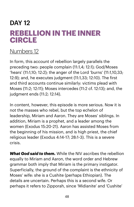## DAY 12 **REBELLION IN THE INNER CIRCLE**

#### [Numbers 12](https://www.biblegateway.com/passage/?search=numbers+12&version=NIV)

In form, this account of rebellion largely parallels the preceding two: people complain (11:1,4; 12:1); God/Moses 'hears' (11:1,10; 12:2); the anger of the Lord 'burns' (11:1,10,33; 12:9); and, he executes judgment (11:1,33; 12:10). The first and third accounts continue similarly: victims plead with Moses (11:2; 12:11); Moses intercedes (11:2 cf. 12:13); and, the judgment ends (11:2; 12:14).

In content, however, this episode is more serious. Now it is not the masses who rebel, but the top echelon of leadership, Miriam and Aaron. They are Moses' siblings. In addition, Miriam is a prophet, and a leader among the women (Exodus 15:20-21). Aaron has assisted Moses from the beginning of his mission, and is high priest, the chief religious leader (Exodus 4:14-17; 28:1-3). This is a severe crisis.

*What God said to them.* While the NIV ascribes the rebellion equally to Miriam and Aaron, the word order and Hebrew grammar both imply that Miriam is the primary instigator. Superficially, the ground of the complaint is the ethnicity of Moses' wife: she is a Cushite (perhaps Ethiopian). The details are uncertain. Perhaps this is a second wife. Or perhaps it refers to Zipporah, since 'Midianite' and 'Cushite'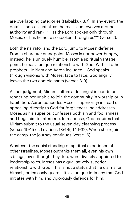are overlapping categories (Habakkuk 3:7). In any event, the detail is non-essential, as the real issue revolves around authority and rank: "'Has the Lord spoken only through Moses, or has he not also spoken through us?'" (verse 2).

Both the narrator and the Lord jump to Moses' defense. From a character standpoint, Moses is not power-hungry; instead, he is uniquely humble. From a spiritual vantage point, he has a unique relationship with God. With all other prophets – Miriam and Aaron included – God speaks through visions; with Moses, face to face. God angrily leaves the two complainants (verses 3-9).

As her judgment, Miriam suffers a defiling skin condition, rendering her unable to join the community in worship or in habitation. Aaron concedes Moses' superiority: instead of appealing directly to God for forgiveness, he addresses Moses as his superior, confesses both sin and foolishness, and begs him to intercede. In response, God requires that Miriam submit to the usual seven-day cleansing process (verses 10-15 cf. Leviticus 13:4-5; 14:1-32). When she rejoins the camp, the journey continues (verse 16).

Whatever the social standing or spiritual experience of other Israelites, Moses outranks them all, even his own siblings, even though they, too, were divinely appointed to leadership roles. Moses has a qualitatively superior relationship with God. This is not a status that he claims for himself, or jealously guards. It is a unique intimacy that God initiates with him, and vigorously defends for him.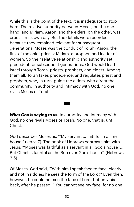While this is the point of the text, it is inadequate to stop here. The relative authority between Moses, on the one hand, and Miriam, Aaron, and the elders, on the other, was crucial in its own day. But the details were recorded because they remained relevant for subsequent generations. Moses was the conduit of Torah; Aaron, the first of the chief priests; Miriam, a prophet, and leader of women. So their relative relationship and authority set precedent for subsequent generations. God would lead Israel through Torah, priests, prophets, and elders. Among them all, Torah takes precedence, and regulates priest and prophets, who, in turn, guide the elders, who direct the community. In authority and intimacy with God, no one rivals Moses or Torah.

*What God is saying to us.* In authority and intimacy with God, no one rivals Moses or Torah. No one, that is, until Christ.

**TIP** 

God describes Moses as, "'My servant ... faithful in all my house'" (verse 7). The book of Hebrews contrasts him with Jesus: "'Moses was faithful as a servant in all God's house' ... But Christ is faithful as the Son over God's house'" (Hebrews 3:5).

Of Moses, God said, "'With him I speak face to face, clearly and not in riddles; he sees the form of the Lord.'" Even then, however, he could not see the face of Lord, but only his back, after he passed: "'You cannot see my face, for no one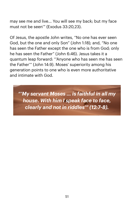may see me and live... You will see my back; but my face must not be seen'" (Exodus 33:20,23).

Of Jesus, the apostle John writes, "No one has ever seen God, but the one and only Son" (John 1:18); and, "No one has seen the Father except the one who is from God; only he has seen the Father" (John 6:46). Jesus takes it a quantum leap forward: "'Anyone who has seen me has seen the Father'" (John 14:9). Moses' superiority among his generation points to one who is even more authoritative and intimate with God.

*"'My servant Moses ... is faithful in all my house. With him I speak face to face, clearly and not in riddles'" (12:7-8).*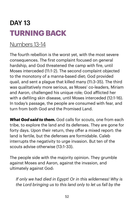# DAY 13 **TURNING BACK**

#### [Numbers 13](https://www.biblegateway.com/passage/?search=numbers+13-14&version=NIV)-14

The fourth rebellion is the worst yet, with the most severe consequences. The first complaint focused on general hardship, and God threatened the camp with fire, until Moses interceded (11:1-2). The second complaint objected to the monotony of a manna-based diet; God provided quail, and sent a plague that killed many (11:3-35). The third was qualitatively more serious, as Moses' co-leaders, Miriam and Aaron, challenged his unique role; God aflicted her with a defiling skin disease, until Moses interceded (12:1-16). In today's passage, the people are consumed with fear, and turn from both God and the Promised Land.

*What God said to them.* God calls for scouts, one from each tribe, to explore the land and its defenses. They are gone for forty days. Upon their return, they offer a mixed report: the land is fertile, but the defenses are formidable. Caleb interrupts the negativity to urge invasion. But ten of the scouts advise otherwise (13:1-33).

The people side with the majority opinion. They grumble against Moses and Aaron, against the invasion, and ultimately against God:

*If only we had died in Egypt! Or in this wilderness! Why is the Lord bringing us to this land only to let us fall by the*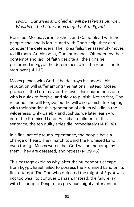*sword? Our wives and children will be taken as plunder. Wouldn't it be better for us to go back to Egypt?* 

Horrified, Moses, Aaron, Joshua, and Caleb plead with the people: the land is fertile, and with God's help, they can conquer the defenders. Their plea fails: the assembly moves to kill them. At this point, God intervenes. Offended by their contempt and lack of faith despite all the signs he performed in Egypt, he determines to kill the rebels and to start over (14:1-12).

Moses pleads with God. If he destroys his people, his reputation will suffer among the nations. Instead, Moses proposes, the Lord may better reveal his character as one who is quick to forgive, and slow to punish. Not so fast, God responds: he will forgive, but he will also punish. In keeping with their slander, this generation of adults will die in the wilderness. Only Caleb – and Joshua, we later learn – will enter the Promised Land. As initial fulfillment of this sentence, the ten guilty spies die immediately (14:12-38).

In a final act of pseudo-repentance, the people have a change of heart. They march toward the Promised Land, even though Moses warns that God will not accompany them. They are defeated, and retreat (14:39-45).

This passage explains why, after the stupendous escape from Egypt, Israel failed to possess the Promised Land on its first attempt. The God who defeated the might of Egypt was not too weak to conquer Canaan. Instead, the failure lay with his people. Despite his previous mighty interventions,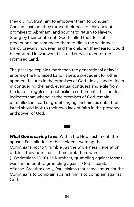they did not trust him to empower them to conquer Canaan. Instead, they turned their back on his ancient promises to Abraham, and sought to return to slavery. Stung by their contempt, God fulfilled their fearful predictions: he sentenced them to die in the wilderness. Mercy prevails, however, and the children they feared would be captured in war would instead survive to enter the Promised Land.

The passage explains more than the generational delay in entering the Promised Land. It sets a precedent for other apparent failures in the promises of God: delays and defeats in conquering the land, eventual conquest and exile from the land, struggles in post-exilic resettlement. This incident indicates that whenever the promises of God remain unfulfilled, instead of grumbling against him as unfaithful, Israel should look to their own lack of faith in the presence and power of God.

*What God is saying to us.* Within the New Testament, the apostle Paul alludes to this incident, warning the Corinthians not to 'grumble', as the wilderness generation did, lest they be killed as their forefathers were (1 Corinthians 10:10). In Numbers, grumbling against Moses was tantamount to grumbling against God, a capital offense. Breathtakingly, Paul claims that same status: for the Corinthians to complain against him is to complain against God.

**TER**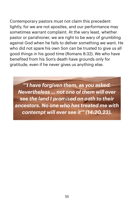Contemporary pastors must not claim this precedent lightly, for we are not apostles, and our performance may sometimes warrant complaint. At the very least, whether pastor or parishioner, we are right to be wary of grumbling against God when he fails to deliver something we want. He who did not spare his own Son can be trusted to give us all good things in his good time (Romans 8:32). We who have benefited from his Son's death have grounds only for gratitude, even if he never gives us anything else.

*"'I have forgiven them, as you asked. Nevertheless ... not one of them will ever see the land I promised on oath to their ancestors. No one who has treated me with contempt will ever see it'" (14:20,23).*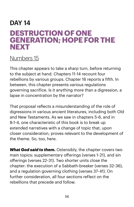### DAY 14 **DESTRUCTION OF ONE GENERATION; HOPE FOR THE NEXT**

#### [Numbers 15](https://www.biblegateway.com/passage/?search=numbers+15&version=NIV)

This chapter appears to take a sharp turn, before returning to the subject at hand. Chapters 11-14 recount four rebellions by various groups. Chapter 16 reports a fifth. In between, this chapter presents various regulations governing sacrifice. Is it anything more than a digression, a lapse in concentration by the narrator?

That proposal reflects a misunderstanding of the role of digressions in various ancient literatures, including both Old and New Testaments. As we saw in chapters 5-6, and in 8:1-4, one characteristic of this book is to break up extended narratives with a change of topic that, upon closer consideration, proves relevant to the development of the theme. So, too, here.

*What God said to them.* Ostensibly, the chapter covers two main topics: supplementary offerings (verses 1-21), and sin offerings (verses 22-31). Two shorter units close the chapter: the execution of a Sabbath-breaker (verses 32-36), and a regulation governing clothing (verses 37-41). On further consideration, all four sections reflect on the rebellions that precede and follow.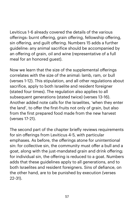Leviticus 1-6 already covered the details of the various offerings: burnt offering, grain offering, fellowship offering, sin offering, and guilt offering. Numbers 15 adds a further guideline: any animal sacrifice should be accompanied by an offering of grain, oil and wine (representative of a full meal for an honored guest).

Now we learn that the size of the supplemental offerings correlates with the size of the animal: lamb, ram, or bull (verses 1-12). This stipulation, and all other regulations about sacrifice, apply to both Israelite and resident foreigner (stated four times). The regulation also applies to all subsequent generations (stated twice) (verses 13-16). Another added note calls for the Israelites, 'when they enter the land', to offer the first-fruits not only of grain, but also from the first prepared food made from the new harvest (verses 17-21).

The second part of the chapter briefly reviews requirements for sin offerings from Leviticus 4-5, with particular emphases. As before, the offerings atone for unintentional sin: for collective sin, the community must offer a bull and a goat, along with the just-mandated grain and drink offering; for individual sin, the offering is reduced to a goat. Numbers adds that these guidelines apply to all generations, and to both Israelites and resident foreigners. Sins of defiance, on the other hand, are to be punished by execution (verses 22-31).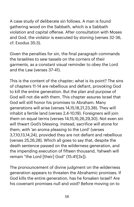A case study of deliberate sin follows. A man is found gathering wood on the Sabbath, which is a Sabbath violation and capital offense. After consultation with Moses and God, the violator is executed by stoning (verses 32-36, cf. Exodus 35:3).

Given the penalties for sin, the final paragraph commands the Israelites to sew tassels on the corners of their garments, as a constant visual reminder to obey the Lord and the Law (verses 37-41).

This is the content of the chapter; what is its point? The sins of chapters 11-14 are rebellious and defiant, provoking God to kill the entire generation. But the plan and purpose of God will not die with them. This chapter assures Israel that God will still honor his promises to Abraham. Many generations will arise (verses 14,15,18,21,23,38). They will inhabit a fertile land (verses 2,4-10,19). Foreigners will join them on equal terms (verses 14,15,16,26,29,30). Not even sin will thwart God's blessing. Instead, sacrifice will atone for them, with 'an aroma pleasing to the Lord' (verses 3,7,10,13,14,24), provided they are not defiant and rebellious (verses 25,26,28). Which all goes to say that, despite the death sentence passed on the wilderness generation, and the impending execution of fifteen thousand, Yahweh will remain "the Lord [their] God" (15:41[3x]).

The pronouncement of divine judgment on the wilderness generation appears to threaten the Abrahamic promises. If God kills the entire generation, has he forsaken Israel? Are his covenant promises null and void? Before moving on to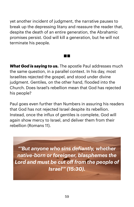yet another incident of judgment, the narrative pauses to break up the depressing litany and reassure the reader that, despite the death of an entire generation, the Abrahamic promises persist. God will kill a generation, but he will not terminate his people.

*What God is saying to us.* The apostle Paul addresses much the same question, in a parallel context. In his day, most Israelites rejected the gospel, and stood under divine judgment. Gentiles, on the other hand, flooded into the Church. Does Israel's rebellion mean that God has rejected his people?

Paul goes even further than Numbers in assuring his readers that God has not rejected Israel despite its rebellion. Instead, once the influx of gentiles is complete, God will again show mercy to Israel, and deliver them from their rebellion (Romans 11).

*"'But anyone who sins defiantly, whether native-born or foreigner, blasphemes the Lord and must be cut off from the people of Israel'" (15:30).*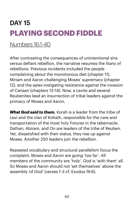# DAY 15 **PLAYING SECOND FIDDLE**

[Numbers 16:1](https://www.biblegateway.com/passage/?search=numbers+16:1-40&version=NIV)-40

After contrasting the consequences of unintentional sins versus defiant rebellion, the narrative resumes the litany of rebellions. Previous incidents included the people complaining about the monotonous diet (chapter 11), Miriam and Aaron challenging Moses' supremacy (chapter 12), and the spies instigating resistance against the invasion of Canaan (chapters 13-14). Now, a Levite and several Reubenites lead an insurrection of tribal leaders against the primacy of Moses and Aaron.

*What God said to them.* Korah is a leader from the tribe of Levi and the clan of Kohath, responsible for the care and transportation of the most holy fixtures in the tabernacle. Dathan, Abiram, and On are leaders of the tribe of Reuben. Yet, dissatisfied with their status, they rise up against Moses. Another 250 leaders join the rebellion.

Repeated vocabulary and structural parallelism focus the complaint. Moses and Aaron are going 'too far'. All members of the community are 'holy'. God is 'with them' all. So Moses and Aaron should not 'set themselves' above the assembly 'of God' (verses 1-3 cf. Exodus 19:6).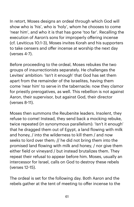In retort, Moses designs an ordeal through which God will show who is 'his', who is 'holy', whom he chooses to come 'near him', and who it is that has gone 'too far'. Recalling the execution of Aaron's sons for improperly offering incense (cf. Leviticus 10:1-3), Moses invites Korah and his supporters to take censers and offer incense at worship the next day (verses 4-7).

Before proceeding to the ordeal, Moses rebukes the two groups of insurrectionists separately. He challenges the Levites' ambition: 'Isn't it enough' that God has set them apart from the remainder of the Israelites, having them come 'near him' to serve in the tabernacle; now they clamor for priestly prerogatives, as well. This rebellion is not against Aaron, their supervisor, but against God, their director (verses 8-11).

Moses then summons the Reubenite leaders. Insolent, they refuse to come! Instead, they send back a mocking rebuke, twice repeated (in synonymous parallelism): 'Isn't it enough' that he dragged them out of Egypt, a land flowing with milk and honey, / into the wilderness to kill them / and now seeks to lord over them; // he did not bring them into the promised land flowing with milk and honey, / nor give them either field or vineyard / but instead brutalizes them. They repeat their refusal to appear before him. Moses, usually an intercessor for Israel, calls on God to destroy these rebels (verses 12-15).

The ordeal is set for the following day. Both Aaron and the rebels gather at the tent of meeting to offer incense to the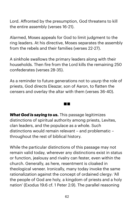Lord. Affronted by the presumption, God threatens to kill the entire assembly (verses 16-21).

Alarmed, Moses appeals for God to limit judgment to the ring leaders. At his directive, Moses separates the assembly from the rebels and their families (verses 22-27).

A sinkhole swallows the primary leaders along with their households. Then fire from the Lord kills the remaining 250 confederates (verses 28-35).

As a reminder to future generations not to usurp the role of priests, God directs Eleazar, son of Aaron, to flatten the censers and overlay the altar with them (verses 36-40).

**Contract** 

*What God is saying to us.* This passage legitimizes distinctions of spiritual authority among priests, Levites, clan leaders, and the populace as a whole. Such distinctions would remain relevant – and problematic – throughout the rest of biblical history.

While the particular distinctions of this passage may not remain valid today, wherever any distinctions exist in status or function, jealousy and rivalry can fester, even within the church. Generally, as here, resentment is cloaked in theological veneer. Ironically, many today invoke the same rationalization against the concept of ordained clergy: 'All the people of God are holy, a kingdom of priests and a holy nation' (Exodus 19:6 cf. 1 Peter 2:9). The parallel reasoning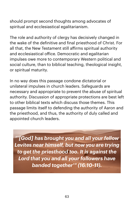should prompt second thoughts among advocates of spiritual and ecclesiastical egalitarianism.

The role and authority of clergy has decisively changed in the wake of the definitive and final priesthood of Christ. For all that, the New Testament still afirms spiritual authority and ecclesiastical ofice. Democratic and egalitarian impulses owe more to contemporary Western political and social culture, than to biblical teaching, theological insight, or spiritual maturity.

In no way does this passage condone dictatorial or unilateral impulses in church leaders. Safeguards are necessary and appropriate to prevent the abuse of spiritual authority. Discussion of appropriate protections are best left to other biblical texts which discuss those themes. This passage limits itself to defending the authority of Aaron and the priesthood, and thus, the authority of duly called and appointed church leaders.

*"'[God] has brought you and all your fellow Levites near himself, but now you are trying to get the priesthood too. It is against the Lord that you and all your followers have banded together'" (16:10-11).*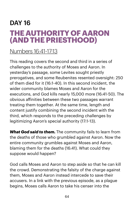## DAY 16 **THE AUTHORITY OF AARON (AND THE PRIESTHOOD)**

#### [Numbers 16:41](https://www.biblegateway.com/passage/?search=numbers+16:41-17:13&version=NIV)-17:13

This reading covers the second and third in a series of challenges to the authority of Moses and Aaron. In yesterday's passage, some Levites sought priestly prerogatives, and some Reubenites resented oversight: 250 of them died for it (16:1-40). In this second incident, the wider community blames Moses and Aaron for the executions, and God kills nearly 15,000 more (16:41-50). The obvious afinities between these two passages warrant treating them together. At the same time, length and content justify combining the second incident with the third, which responds to the preceding challenges by legitimizing Aaron's special authority (17:1-13).

*What God said to them.* The community fails to learn from the deaths of those who grumbled against Aaron. Now the entire community grumbles against Moses and Aaron, blaming them for the deaths (16:41). What could they suppose would happen?

God calls Moses and Aaron to step aside so that he can kill the crowd. Demonstrating the falsity of the charge against them, Moses and Aaron instead intercede to save their accusers. In a link with the previous episode, as a plague begins, Moses calls Aaron to take his censer into the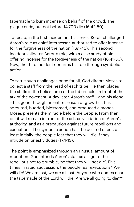tabernacle to burn incense on behalf of the crowd. The plague ends, but not before 14,700 die (16:42-50).

To recap, in the first incident in this series, Korah challenged Aaron's role as chief intercessor, authorized to offer incense for the forgiveness of the nation (16:1-40). This second incident validates Aaron's role, with a case study of him offering incense for the forgiveness of the nation (16:41-50). Now, the third incident confirms his role through symbolic action.

To settle such challenges once for all, God directs Moses to collect a staff from the head of each tribe. He then places the staffs in the holiest area of the tabernacle, in front of the ark of the covenant. A day later, Aaron's staff – and his alone – has gone through an entire season of growth: it has sprouted, budded, blossomed, and produced almonds. Moses presents the miracle before the people. From then on, it will remain in front of the ark, as validation of Aaron's authority, and as a precaution against future rebellions and executions. The symbolic action has the desired effect, at least initially: the people fear that they will die if they intrude on priestly duties (17:1-13).

The point is emphasized through an unusual amount of repetition. God intends Aaron's staff as a sign to the rebellious not to grumble, 'so that they will not die'. Five times in rapid succession, the people fear execution: "'We will die! We are lost, we are all lost! Anyone who comes near the tabernacle of the Lord will die. Are we all going to die?'"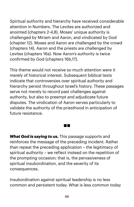Spiritual authority and hierarchy have received considerable attention in Numbers. The Levites are authorized and anointed (chapters 2-4,8). Moses' unique authority is challenged by Miriam and Aaron, and vindicated by God (chapter 12). Moses and Aaron are challenged by the crowd (chapters 14). Aaron and the priests are challenged by Levites (chapters 16a). Now Aaron's authority is twice confirmed by God (chapters 16b,17).

This theme would not receive so much attention were it merely of historical interest. Subsequent biblical texts indicate that controversies over spiritual authority and hierarchy persist throughout Israel's history. These passages serve not merely to record past challenges against authority, but also to preempt and adjudicate future disputes. The vindication of Aaron serves particularly to validate the authority of the priesthood in anticipation of future resistance.

**The Contract** 

*What God is saying to us.* This passage supports and reinforces the message of the preceding incident. Rather than repeat the preceding application – the legitimacy of spiritual authority – we reflect instead on the repetition of the prompting occasion; that is, the pervasiveness of spiritual insubordination, and the severity of its consequences.

Insubordination against spiritual leadership is no less common and persistent today. What is less common today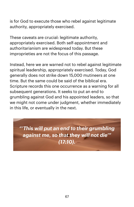is for God to execute those who rebel against legitimate authority, appropriately exercised.

These caveats are crucial: legitimate authority, appropriately exercised. Both self-appointment and authoritarianism are widespread today. But these improprieties are not the focus of this passage.

Instead, here we are warned not to rebel against legitimate spiritual leadership, appropriately exercised. Today, God generally does not strike down 15,000 mutineers at one time. But the same could be said of the biblical era. Scripture records this one occurrence as a warning for all subsequent generations. It seeks to put an end to grumbling against God and his appointed leaders, so that we might not come under judgment, whether immediately in this life, or eventually in the next.

*"'This will put an end to their grumbling against me, so that they will not die'" (17:10).*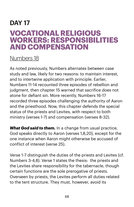### DAY 17 **VOCATIONAL RELIGIOUS WORKERS: RESPONSIBILITIES AND COMPENSATION**

#### [Numbers 18](https://www.biblegateway.com/passage/?search=numbers+18&version=NIV)

As noted previously, Numbers alternates between case study and law, likely for two reasons: to maintain interest, and to intertwine application with principle. Earlier, Numbers 11-14 recounted three episodes of rebellion and judgment, then chapter 15 warned that sacrifice does not atone for defiant sin. More recently, Numbers 16-17 recorded three episodes challenging the authority of Aaron and the priesthood. Now, this chapter defends the special status of the priests and Levites, with respect to both ministry (verses 1-7) and compensation (verses 8-32).

*What God said to them.* In a change from usual practice, God speaks directly to Aaron (verses 1,8,20), except for the one instance when Aaron might otherwise be accused of conflict of interest (verse 25).

Verse 1-7 distinguish the duties of the priests and Levites (cf. Numbers 3-4,8). Verse 1 states the thesis: the priests and the Levites share responsibility for the tabernacle, though certain functions are the sole prerogative of priests. Overseen by priests, the Levites perform all duties related to the tent structure. They must, however, avoid its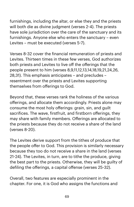furnishings, including the altar, or else they and the priests will both die as divine judgment (verses 2-4). The priests have sole jurisdiction over the care of the sanctuary and its furnishings. Anyone else who enters the sanctuary – even Levites – must be executed (verses 5-7).

Verses 8-32 cover the financial remuneration of priests and Levites. Thirteen times in these few verses, God authorizes both priests and Levites to live off the offerings that the people present to him (verses 8,9,11,12,13,14,18,19,21,24,26, 28,31). This emphasis anticipates – and precludes – resentment over the priests and Levites supporting themselves from offerings to God.

Beyond that, these verses rank the holiness of the various offerings, and allocate them accordingly. Priests alone may consume the most holy offerings: grain, sin, and guilt sacrifices. The wave, firstfruit, and firstborn offerings, they may share with family members. Offerings are allocated to the priests because they do not receive a share of the land (verses 8-20).

The Levites derive support from the tithes of produce that the people offer to God. This provision is similarly necessary because they too do not receive a share in the land (verses 21-24). The Levites, in turn, are to tithe the produce, giving the best part to the priests. Otherwise, they will be guilty of defiling the offerings, a capital offense (verses 25-32).

Overall, two features are especially prominent in the chapter. For one, it is God who assigns the functions and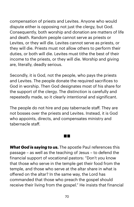compensation of priests and Levites. Anyone who would dispute either is opposing not just the clergy, but God. Consequently, both worship and donation are matters of life and death. Random people cannot serve as priests or Levites, or they will die. Levites cannot serve as priests, or they will die. Priests must not allow others to perform their duties, or both will die. Levites must tithe the best of their income to the priests, or they will die. Worship and giving are, literally, deadly serious.

Secondly, it is God, not the people, who pays the priests and Levites. The people donate the required sacrifices to God in worship. Then God designates most of his share for the support of the clergy. The distinction is carefully and repeatedly made, so it clearly intentional and significant.

The people do not hire and pay tabernacle staff. They are not bosses over the priests and Levites. Instead, it is God who appoints, directs, and compensates ministry and tabernacle staff.

*What God is saying to us.* The apostle Paul references this passage – as well as the teaching of Jesus – to defend the financial support of vocational pastors: "Don't you know that those who serve in the temple get their food from the temple, and those who serve at the altar share in what is offered on the altar? In the same way, the Lord has commanded that those who preach the gospel should receive their living from the gospel." He insists that financial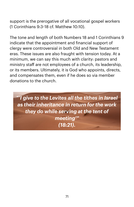support is the prerogative of all vocational gospel workers (1 Corinthians 9:3-18 cf. Matthew 10:10).

The tone and length of both Numbers 18 and 1 Corinthians 9 indicate that the appointment and financial support of clergy were controversial in both Old and New Testament eras. These issues are also fraught with tension today. At a minimum, we can say this much with clarity: pastors and ministry staff are not employees of a church, its leadership, or its members. Ultimately, it is God who appoints, directs, and compensates them, even if he does so via member donations to the church.

*"'I give to the Levites all the tithes in Israel as their inheritance in return for the work they do while serving at the tent of meeting'" (18:21).*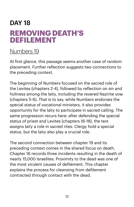## DAY 18 **REMOVING DEATH'S DEFILEMENT**

#### [Numbers 19](https://www.biblegateway.com/passage/?search=numbers+19&version=NIV)

At first glance, this passage seems another case of random placement. Further reflection suggests two connections to the preceding context.

The beginning of Numbers focused on the sacred role of the Levites (chapters 2-4), followed by reflection on sin and holiness among the laity, including the revered Nazirite vow (chapters 5-6). That is to say, while Numbers endorses the special status of vocational ministers, it also provides opportunity for the laity to participate in sacred calling. The same progression recurs here: after defending the special status of priest and Levites (chapters 16-18), the text assigns laity a role in sacred rites. Clergy hold a special status, but the laity also play a crucial role.

The second connection between chapter 19 and its preceding context comes in the shared focus on death. Chapter 16 records three incidents resulting in the death of nearly 15,000 Israelites. Proximity to the dead was one of the most virulent causes of defilement. This chapter explains the process for cleansing from defilement contracted through contact with the dead.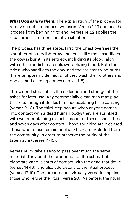*What God said to them.* The explanation of the process for removing defilement has two parts. Verses 1-13 outlines the process from beginning to end. Verses 14-22 applies the ritual process to representative situations.

The process has three steps. First, the priest oversees the slaughter of a reddish-brown heifer. Unlike most sacrifices, the cow is burnt in its entirety, including its blood, along with other reddish materials symbolizing blood. Both the priest who sacrifices the cow, and the assistant who burns it, are temporarily defiled, until they wash their clothes and bodies, and evening comes (verses 1-8).

The second step entails the collection and storage of the ashes for later use. Any ceremonially clean man may play this role, though it defiles him, necessitating his cleansing (verses 9-10). The third step occurs when anyone comes into contact with a dead human body: they are sprinkled with water containing a small amount of these ashes, three and seven days after contact. Those sprinkled are cleansed. Those who refuse remain unclean; they are excluded from the community, in order to preserve the purity of the tabernacle (verses 11-13).

Verses 14-22 take a second pass over much the same material. They omit the production of the ashes, but elaborate various sorts of contact with the dead that defile (verses 14-16), and also add details to the ritual process (verses 17-19). The threat recurs, virtually verbatim, against those who refuse the ritual (verse 20). As before, the ritual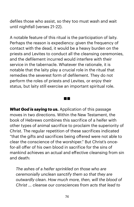defiles those who assist, so they too must wash and wait until nightfall (verses 21-22).

A notable feature of this ritual is the participation of laity. Perhaps the reason is expediency: given the frequency of contact with the dead, it would be a heavy burden on the priests and Levites to conduct all the cleansing ceremonies, and the defilement incurred would interfere with their service in the tabernacle. Whatever the rationale, it is notable that the laity play a crucial role in the ritual that remedies the severest form of defilement. They do not perform the roles of priests and Levites, or enjoy their status, but laity still exercise an important spiritual role.

*What God is saying to us.* Application of this passage moves in two directions. Within the New Testament, the book of Hebrews combines this sacrifice of a heifer with other types of animal sacrifice to proclaim the superiority of Christ. The regular repetition of these sacrifices indicated "that the gifts and sacrifices being offered were not able to clear the conscience of the worshiper." But Christ's oncefor-all offer of his own blood in sacrifice for the sins of mankind achieves an actual and effective cleansing from sin and death:

**The Co** 

*The ashes of a heifer sprinkled on those who are ceremonially unclean sanctify them so that they are outwardly clean. How much more, then, will the blood of Christ ... cleanse our consciences from acts that lead to*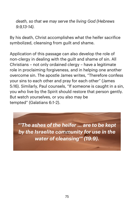*death, so that we may serve the living God (Hebrews 9:9,13-14).* 

By his death, Christ accomplishes what the heifer sacrifice symbolized, cleansing from guilt and shame.

Application of this passage can also develop the role of non-clergy in dealing with the guilt and shame of sin. All Christians – not only ordained clergy – have a legitimate role in proclaiming forgiveness, and in helping one another overcome sin. The apostle James writes, "Therefore confess your sins to each other and pray for each other" (James 5:16). Similarly, Paul counsels, "If someone is caught in a sin, you who live by the Spirit should restore that person gently. But watch yourselves, or you also may be tempted" (Galatians 6:1-2).

*"'The ashes of the heifer ... are to be kept by the Israelite community for use in the water of cleansing'" (19:9).*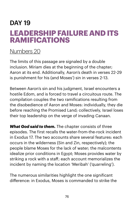## DAY 19 **LEADERSHIP FAILURE AND ITS RAMIFICATIONS**

### [Numbers 20](https://www.biblegateway.com/passage/?search=numbers+20&version=NIV)

The limits of this passage are signaled by a double inclusion. Miriam dies at the beginning of the chapter; Aaron at its end. Additionally, Aaron's death in verses 22-29 is punishment for his (and Moses') sin in verses 2-13.

Between Aaron's sin and his judgment, Israel encounters a hostile Edom, and is forced to travel a circuitous route. The compilation couples the two ramifications resulting from the disobedience of Aaron and Moses: individually, they die before reaching the Promised Land; collectively, Israel loses their top leadership on the verge of invading Canaan.

*What God said to them.* The chapter consists of three episodes. The first recalls the water-from-the-rock incident in Exodus 17. The two accounts share several features: each occurs in the wilderness (Sin and Zin, respectively); the people blame Moses for the lack of water; the malcontents idealize prior conditions in Egypt; Moses provides water by striking a rock with a staff; each account memorializes the incident by naming the location 'Meribah' ('quarreling').

The numerous similarities highlight the one significant difference: in Exodus, Moses is commanded to strike the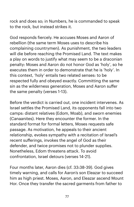rock and does so; in Numbers, he is commanded to speak to the rock, but instead strikes it.

God responds fiercely. He accuses Moses and Aaron of rebellion (the same term Moses uses to describe his complaining countrymen). As punishment, the two leaders will die before reaching the Promised Land. The text makes a play on words to justify what may seem to be a draconian penalty: Moses and Aaron do not honor God as 'holy', so he executes them in order to demonstrate that he is 'holy'. In this context, 'holy' entails two related senses: to be respected fully and obeyed exactly. Committing the same sin as the wilderness generation, Moses and Aaron suffer the same penalty (verses 1-13).

Before the verdict is carried out, one incident intervenes. As Israel settles the Promised Land, its opponents fall into two camps: distant relatives (Edom, Moab), and sworn enemies (Canaanites). Here they encounter the former. In the standard format for formal letters, Moses requests safe passage. As motivation, he appeals to their ancient relationship, evokes sympathy with a recitation of Israel's recent sufferings, invokes the angel of God as their defender, and twice promises not to plunder supplies. Nonetheless, Edom threatens attack. To avoid confrontation, Israel detours (verses 14-21).

Four months later, Aaron dies (cf. 33:38-39). God gives timely warning, and calls for Aaron's son Eleazar to succeed him as high priest. Moses, Aaron, and Eleazar ascend Mount Hor. Once they transfer the sacred garments from father to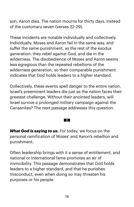son, Aaron dies. The nation mourns for thirty days, instead of the customary seven (verses 22-29).

These incidents are notable individually and collectively. Individually, Moses and Aaron fail in the same way, and suffer the same punishment, as the rest of the exodus generation: they rebel against God, and die in the wilderness. The disobedience of Moses and Aaron seems less egregious than the repeated rebellions of the wilderness generation, so their comparable punishment indicates that God holds leaders to a higher standard.

Collectively, these events spell danger to the entire nation. Israel's preeminent leaders die just as the nation faces their greatest challenge. Without their anointed leaders, will Israel survive a prolonged military campaign against the Canaanites? The next passage addresses this question.

 $\sim 100$ 

*What God is saying to us.* For today, we focus on the personal ramification of Moses' and Aaron's rebellion and punishment.

Often leadership brings with it a sense of entitlement, and national or international fame promotes an air of invincibility. This passage demonstrates that God holds leaders to a higher standard, and that he punishes misconduct, even when doing so may threaten his purposes or his people.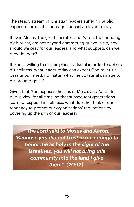The steady stream of Christian leaders suffering public exposure makes this passage intensely relevant today.

If even Moses, the great liberator, and Aaron, the founding high priest, are not beyond committing grievous sin, how should we pray for our leaders, and what supports can we provide them?

If God is willing to risk his plans for Israel in order to uphold his holiness, what leader today can expect God to let sin pass unpunished, no matter what the collateral damage to his broader goals?

Given that God exposes the sins of Moses and Aaron to public view for all time, so that subsequent generations learn to respect his holiness, what does he think of our tendency to protect our organizations' reputations by covering up the sins of our leaders?

*"The Lord said to Moses and Aaron, 'Because you did not trust in me enough to honor me as holy in the sight of the Israelites, you will not bring this community into the land I give them'" (20:12).*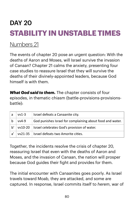# DAY 20 **STABILITY IN UNSTABLE TIMES**

## [Numbers 21](https://www.biblegateway.com/passage/?search=numbers+21&version=NIV)

The events of chapter 20 pose an urgent question: With the deaths of Aaron and Moses, will Israel survive the invasion of Canaan? Chapter 21 calms the anxiety, presenting four case studies to reassure Israel that they will survive the deaths of their divinely-appointed leaders, because God himself is with them.

*What God said to them.* The chapter consists of four episodes, in thematic chiasm (battle-provisions-provisionsbattle):

| a  | $vv1-3$ | Israel defeats a Canaanite city.                          |
|----|---------|-----------------------------------------------------------|
| b  | $vv4-9$ | God punishes Israel for complaining about food and water. |
| b' |         | vv10-20   Israel celebrates God's provision of water.     |
| a' |         | vv21-35 Israel defeats two Amorite cities.                |

Together, the incidents resolve the crisis of chapter 20, reassuring Israel that even with the deaths of Aaron and Moses, and the invasion of Canaan, the nation will prosper because God guides their fight and provides for them.

The initial encounter with Canaanites goes poorly. As Israel travels toward Moab, they are attacked, and some are captured. In response, Israel commits itself to *herem*, war of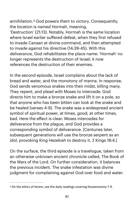<span id="page-80-1"></span>annihilation.<sup>4</sup>God powers them to victory. Consequently, the location is named Hormah, meaning,

'Destruction' (21:13). Notably, Hormah is the same location where Israel earlier suffered defeat, when they first refused to invade Canaan at divine command, and then attempted to invade against his directive (14:39-45). With this deliverance, God rehabilitates the place name: 'Hormah' no longer represents the destruction of Israel; it now references the destruction of their enemies.

In the second episode, Israel complains about the lack of bread and water, and the monotony of manna. In response, God sends venomous snakes into their midst, killing many. They repent, and plead with Moses to intercede. God directs him to make a bronze snake and lift it on a pole, so that anyone who has been bitten can look at the snake and be healed (verses 4-9). The snake was a widespread ancient symbol of spiritual power, at times, good; at other times, bad. Here the effect is clear: Moses intercedes for deliverance from the plague, and God provides a corresponding symbol of deliverance. (Centuries later, subsequent generations will use the bronze serpent as an idol, provoking King Hezekiah to destroy it, 2 Kings 18:4.)

On the surface, the third episode is a travelogue, taken from an otherwise unknown ancient chronicle called, The Book of the Wars of the Lord. On further consideration, it balances the previous incident. The snake infestation was divine judgment for complaining against God over food and water.

<span id="page-80-0"></span>On the ethics of *herem*, see the daily readings covering Deuteronomy 7-9. [4](#page-80-1)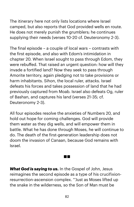The itinerary here not only lists locations where Israel camped, but also reports that God provided wells en route. He does not merely punish the grumblers; he continues supplying their needs (verses 10-20 cf. Deuteronomy 2-3).

The final episode – a couple of local wars – contrasts with the first episode, and also with Edom's intimidation in chapter 20. When Israel sought to pass through Edom, they were rebuffed. That raised an urgent question: how will they invade a fortified land? Now they seek to pass through Amorite territory, again pledging not to take provisions or harm inhabitants. Sihon, the local ruler, attacks. Israel defeats his forces and takes possession of land that he had previously captured from Moab. Israel also defeats Og, ruler of Bashan, and captures his land (verses 21-35; cf. Deuteronomy 2-3).

All four episodes resolve the anxieties of Numbers 20, and hold out hope for coming challenges. God will provide them water as they dig wells, and will empower them in battle. What he has done through Moses, he will continue to do. The death of the first-generation leadership does not doom the invasion of Canaan, because God remains with Israel.

*What God is saying to us.* In the Gospel of John, Jesus reimagines the second episode as a type of his crucifixionresurrection-ascension complex. "'Just as Moses lifted up the snake in the wilderness, so the Son of Man must be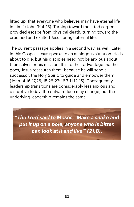lifted up, that everyone who believes may have eternal life in him'" (John 3:14-15). Turning toward the lifted serpent provided escape from physical death; turning toward the crucified and exalted Jesus brings eternal life.

The current passage applies in a second way, as well. Later in this Gospel, Jesus speaks to an analogous situation. He is about to die, but his disciples need not be anxious about themselves or his mission. It is to their advantage that he goes, Jesus reassures them, because he will send a successor, the Holy Spirit, to guide and empower them (John 14:16-17,26; 15:26-27; 16:7-11,12-15). Consequently, leadership transitions are considerably less anxious and disruptive today: the outward face may change, but the underlying leadership remains the same.

*"The Lord said to Moses, 'Make a snake and put it up on a pole; anyone who is bitten can look at it and live'" (21:8).*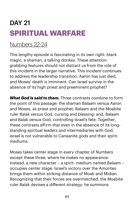# DAY 21 **SPIRITUAL WARFARE**

## [Numbers 22](https://www.biblegateway.com/passage/?search=numbers+22-24&version=NIV)-24

This lengthy episode is fascinating in its own right: black magic, a shaman, a talking donkey. These attentiongrabbing features should not distract us from the role of this incident in the larger narrative. This incident continues to address the leadership transition. Aaron has just died, and Moses' death is imminent. Can Israel survive in the absence of its high priest and preeminent prophet?

*What God is said to them.* Three contrasts combine to form the point of this passage: the shaman Balaam versus Aaron and Moses, as priest and prophet; Balaam and the Moabite ruler Balak versus God, cursing and blessing; and, Balaam and Balak versus God, controlling Israel's fate. Together, these contrasts afirm that even in the absence of its longstanding spiritual leaders and intermediaries with God, Israel is not vulnerable to Canaanite gods and their spiritmediums.

Moses takes center stage in every chapter of Numbers except these three, where he makes no appearance. Instead, a new character – a spirit- medium named Balaam – occupies center stage. Israel's victory over the Amorites brings them within striking distance of Moab and Midian. Recognizing that their forces are overmatched, the Moabite ruler Balak devises a different strategy: he summons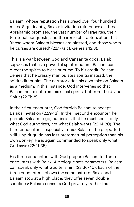Balaam, whose reputation has spread over four hundred miles. Significantly, Balak's invitation references all three Abrahamic promises: the vast number of Israelites, their territorial conquests, and the ironic characterization that 'those whom Balaam blesses are blessed, and those whom he curses are cursed' (22:1-7a cf. Genesis 12:3).

This is a war between God and Canaanite gods. Balak supposes that as a powerful spirit-medium, Balaam can direct the spirits to bless or curse. To his credit, Balaam denies that he crassly manipulates spirits; instead, the spirits direct him. The narrator adds his own take on Balaam as a medium: in this instance, God intervenes so that Balaam hears not from his usual spirits, but from the divine Spirit (22:7b-8).

In their first encounter, God forbids Balaam to accept Balak's invitation (22:9-13). In their second encounter, he permits Balaam to go, but insists that he must speak only what God authorizes, not what Balak wants (22:14-20). The third encounter is especially ironic: Balaam, the purported skilful spirit guide has less preternatural perception than his own donkey. He is again commanded to speak only what God says (22:21-35).

His three encounters with God prepare Balaam for three encounters with Balak. A prologue sets parameters: Balaam can speak only what God tells him (22:36-40). Each of the three encounters follows the same pattern: Balak and Balaam stop at a high place; they offer seven double sacrifices; Balaam consults God privately; rather than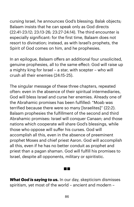cursing Israel, he announces God's blessing; Balak objects; Balaam insists that he can speak only as God directs (22:41-23:12; 23:13-26; 23:27-24:14). The third encounter is especially significant: for the first time, Balaam does not resort to divination; instead, as with Israel's prophets, the Spirit of God comes on him, and he prophesies.

In an epilogue, Balaam offers an additional four unsolicited, genuine prophesies, all to the same effect: God will raise up a mighty king for Israel – a star, with scepter – who will crush all their enemies (24:15-25).

The singular message of these three chapters, repeated often: even in the absence of their spiritual intermediaries, God will bless Israel and curse her enemies. Already one of the Abrahamic promises has been fulfilled: "Moab was terrified because there were so many [Israelites]" (22:2). Balaam prophesies the fulfillment of the second and third Abrahamic promises: Israel will conquer Canaan; and those nations which cooperate will share God's blessings, while those who oppose will suffer his curses. God will accomplish all this, even in the absence of preeminent prophet Moses and chief priest Aaron. God will accomplish all this, even if he has no better conduit as prophet and priest than a pagan shaman. God will fulfill his promises to Israel, despite all opponents, military or spiritistic.

*What God is saying to us.* In our day, skepticism dismisses spiritism, yet most of the world – ancient and modern –

a di S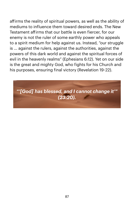afirms the reality of spiritual powers, as well as the ability of mediums to influence them toward desired ends. The New Testament afirms that our battle is even fiercer, for our enemy is not the ruler of some earthly power who appeals to a spirit medium for help against us. Instead, "our struggle is ... against the rulers, against the authorities, against the powers of this dark world and against the spiritual forces of evil in the heavenly realms" (Ephesians 6:12). Yet on our side is the great and mighty God, who fights for his Church and his purposes, ensuring final victory (Revelation 19-22).

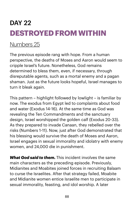# DAY 22 **DESTROYED FROM WITHIN**

## [Numbers 25](https://www.biblegateway.com/passage/?search=numbers+25&version=NIV)

The previous episode rang with hope. From a human perspective, the deaths of Moses and Aaron would seem to cripple Israel's future. Nonetheless, God remains determined to bless them, even, if necessary, through disreputable agents, such as a mortal enemy and a pagan shaman. Just as the future looks hopeful, Israel manages to turn it bleak again.

This pattern – highlight followed by lowlight – is familiar by now. The exodus from Egypt led to complaints about food and water (Exodus 14-16). At the same time as God was revealing the Ten Commandments and the sanctuary design, Israel worshipped the golden calf (Exodus 20-33). As they prepared to invade Canaan, they rebelled over the risks (Numbers 1-11). Now, just after God demonstrated that his blessing would survive the death of Moses and Aaron, Israel engages in sexual immorality and idolatry with enemy women, and 24,000 die in punishment.

*What God said to them.* This incident involves the same main characters as the preceding episode. Previously, Midianites and Moabites joined forces in recruiting Balaam to curse the Israelites. After that strategy failed, Moabite and Midianite women entice Israelite men to participate in sexual immorality, feasting, and idol worship. A later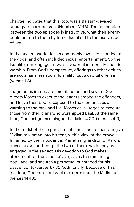chapter indicates that this, too, was a Balaam-devised strategy to corrupt Israel (Numbers 31:16). The connection between the two episodes is instructive: what their enemy could not do to them by force, Israel did to themselves out of lust.

In the ancient world, feasts commonly involved sacrifice to the gods, and often included sexual entertainment. So the Israelite men engage in two sins: sexual immorality and idol worship. From God's perspective, offerings to other deities are not a harmless social formality, but a capital offense (verses 1-3).

Judgment is immediate, multifaceted, and severe. God directs Moses to execute the leaders among the offenders, and leave their bodies exposed to the elements, as a warning to the rank and file. Moses calls judges to execute those from their clans who worshipped Baal. At the same time, God instigates a plague that kills 24,000 (verses 4-9).

In the midst of these punishments, an Israelite man brings a Midianite woman into his tent, within view of the crowd. Inflamed by the impudence, Phinehas, grandson of Aaron, drives his spear through the two of them, while they are engaged in the sex act. His devotion to God makes atonement for the Israelite's sin, saves the remaining populace, and secures a perpetual priesthood for his descendants (verses 6-13). Additionally, because of this incident, God calls for Israel to exterminate the Midianites (verses 14-18).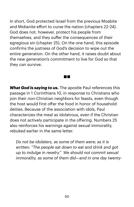In short, God protected Israel from the previous Moabite and Midianite effort to curse the nation (chapters 22-24). God does not, however, protect his people from themselves, and they suffer the consequences of their egregious sin (chapter 25). On the one hand, this episode confirms the justness of God's decision to wipe out the entire generation. On the other hand, it raises doubt about the new generation's commitment to live for God so that they can survive.

**THE REA** 

*What God is saying to us.* The apostle Paul references this passage in 1 Corinthians 10, in response to Christians who join their non-Christian neighbors for feasts, even though the host would first offer the food in honor of household deities. Because of the association with idols, Paul characterizes the meal as idolatrous, even if the Christian does not actively participate in the offering. Numbers 25 also reinforces his warnings against sexual immorality, rebuked earlier in the same letter.

*Do not be idolaters, as some of them were; as it is written: "The people sat down to eat and drink and got up to indulge in revelry." We should not commit sexual immorality, as some of them did—and in one day twenty-*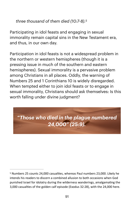<span id="page-90-1"></span>*three thousand of them died (10:7-8).[5](#page-90-0)*

Participating in idol feasts and engaging in sexual immorality remain capital sins in the New Testament era, and thus, in our own day.

Participation in idol feasts is not a widespread problem in the northern or western hemispheres (though it is a pressing issue in much of the southern and eastern hemispheres). Sexual immorality is a pervasive problem among Christians in all places. Oddly, the warning of Numbers 25 and 1 Corinthians 10 is widely disregarded. When tempted either to join idol feasts or to engage in sexual immorality, Christians should ask themselves: Is this worth falling under divine judgment?

*"Those who died in the plague numbered 24,000" (25:9).*

<span id="page-90-0"></span><sup>&</sup>lt;sup>[5](#page-90-1)</sup> Numbers 25 counts 24,000 casualties, whereas Paul numbers 23,000. Likely he intends his readers to discern a combined allusion to both occasions when God punished Israel for idolatry during the wilderness wanderings, amalgamating the 3,000 casualties of the golden calf episode (Exodus 32:28), with the 24,000 here.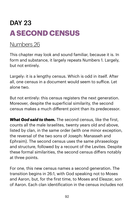# DAY 23 **A SECOND CENSUS**

## [Numbers 26](https://www.biblegateway.com/passage/?search=numbers+26&version=NIV)

This chapter may look and sound familiar, because it is. In form and substance, it largely repeats Numbers 1. Largely, but not entirely.

Largely: it is a lengthy census. Which is odd in itself. After all, one census in a document would seem to sufice. Let alone two.

But not entirely: this census registers the next generation. Moreover, despite the superficial similarity, the second census makes a much different point than its predecessor.

*What God said to them.* The second census, like the first, counts all the male Israelites, twenty years old and above, listed by clan, in the same order (with one minor exception, the reversal of the two sons of Joseph: Manasseh and Ephraim). The second census uses the same phraseology and structure, followed by a recount of the Levites. Despite these formal similarities, the second census differs notably at three points.

For one, this new census names a second generation. The transition begins in 26:1, with God speaking not to Moses and Aaron, but, for the first time, to Moses and Eleazar, son of Aaron. Each clan identification in the census includes not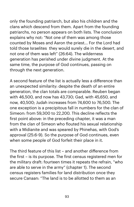only the founding patriarch, but also his children and the clans which descend from them. Apart from the founding patriarchs, no person appears on both lists. The conclusion explains why not: "Not one of them was among those counted by Moses and Aaron the priest... For the Lord had told those Israelites they would surely die in the desert, and not one of them was left" (26:64). The wilderness generation has perished under divine judgment. At the same time, the purpose of God continues, passing on through the next generation.

A second feature of the list is actually less a difference than an unexpected similarity: despite the death of an entire generation, the clan totals are comparable. Reuben began with 46,500, and now has 43,730; Gad, with 45,650, and now, 40,500; Judah increases from 74,600 to 76,500. The one exception is a precipitous fall in numbers for the clan of Simeon: from 59,300 to 22,200. This decline reflects the first point above: in the preceding chapter, it was a man from the clan of Simeon who flouted his sexual relationship with a Midianite and was speared by Phinehas, with God's approval (25:6-9). So the purpose of God continues, even when some people of God forfeit their place in it.

The third feature of this list – and another difference from the first – is its purpose. The first census registered men for the military draft: fourteen times it repeats the refrain, "who are able to serve in the army" (chapter 1). The second census registers families for land distribution once they secure Canaan: "The land is to be allotted to them as an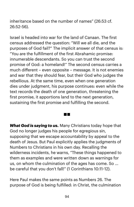inheritance based on the number of names" (26:53 cf. 26:52-56).

Israel is headed into war for the land of Canaan. The first census addressed the question: "Will we all die, and the purposes of God fail?" The implicit answer of that census is: "You are the fulfillment of the first Abrahamic promise: innumerable descendants. So you can trust the second promise of God: a homeland!" The second census carries a much different – even opposite – message. It is not enemies and war that they should fear, but their God who judges the rebellious. At the same time, even when one generation dies under judgment, his purpose continues: even while the text records the death of one generation, threatening the first promise, it apportions land to the next generation, sustaining the first promise and fulfilling the second.

*What God is saying to us.* Many Christians today hope that God no longer judges his people for egregious sin, supposing that we escape accountability by appeal to the death of Jesus. But Paul explicitly applies the judgments of Numbers to Christians in his own day. Recalling the wilderness incidents, he warns, "These things happened to them as examples and were written down as warnings for us, on whom the culmination of the ages has come. So ... be careful that you don't fall!" (1 Corinthians 10:11-12).

Here Paul makes the same points as Numbers 26. The purpose of God is being fulfilled: in Christ, the culmination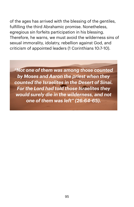of the ages has arrived with the blessing of the gentiles, fulfilling the third Abrahamic promise. Nonetheless, egregious sin forfeits participation in his blessing. Therefore, he warns, we must avoid the wilderness sins of sexual immorality, idolatry, rebellion against God, and criticism of appointed leaders (1 Corinthians 10:7-10).

*"Not one of them was among those counted by Moses and Aaron the priest when they counted the Israelites in the Desert of Sinai. For the Lord had told those Israelites they would surely die in the wilderness, and not one of them was left" (26:64-65).*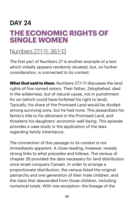## DAY 24 **THE ECONOMIC RIGHTS OF SINGLE WOMEN**

## [Numbers 27:1](https://www.biblegateway.com/passage/?search=numbers+27:1-11;+36:1-13&version=NIV)-11; 36:1-13

The first part of Numbers 27 is another example of a text which initially appears randomly situated, but, on further consideration, is connected to its context.

*What God said to them.* Numbers 27:1-11 discusses the land rights of five named sisters. Their father, Zelophehad, died in the wilderness, but of natural cause, not in punishment for sin (which could have forfeited his right to land). Typically, his share of the Promised Land would be divided among surviving sons, but he had none. This jeopardizes his family's title to his allotment in the Promised Land, and threatens his daughters' economic well-being. This episode provides a case study in the application of the laws regarding family inheritance.

The connection of this passage to its context is not immediately apparent. A close reading, however, reveals strong links to what precedes and follows. The census of chapter 26 provided the data necessary for land distribution once Israel conquers Canaan. In order to arrange a proportionate distribution, the census listed the original patriarchs and one generation of their male children, and the clans that descended from those children, including numerical totals. With one exception: the lineage of the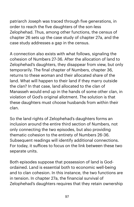patriarch Joseph was traced through five generations, in order to reach the five daughters of the son-less Zelophehad. Thus, among other functions, the census of chapter 26 sets up the case study of chapter 27a, and the case study addresses a gap in the census.

A connection also exists with what follows, signaling the cohesion of Numbers 27-36. After the allocation of land to Zelophehad's daughters, they disappear from view, but only temporarily. The final chapter of Numbers, chapter 36, returns to these woman and their allocated share of the land. What will happen to their land if they marry outside the clan? In that case, land allocated to the clan of Manasseh would end up in the hands of some other clan, in violation of God's original allotment. The solution is that these daughters must choose husbands from within their clan.

So the land rights of Zelophehad's daughters forms an inclusion around the entire third section of Numbers, not only connecting the two episodes, but also providing thematic cohesion to the entirety of Numbers 26-36. Subsequent readings will identify additional connections. For today, it sufices to focus on the link between these two separate units.

Both episodes suppose that possession of land is Godordained. Land is essential both to economic well-being and to clan cohesion. In this instance, the two functions are in tension. In chapter 27a, the financial survival of Zelophehad's daughters requires that they retain ownership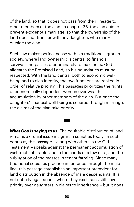of the land, so that it does not pass from their lineage to other members of the clan. In chapter 36, the clan acts to prevent exogenous marriage, so that the ownership of the land does not transfer with any daughters who marry outside the clan.

Such law makes perfect sense within a traditional agrarian society, where land ownership is central to financial survival, and passes predominately to male heirs. God allocates the Promised Land, so his boundaries must be respected. With the land central both to economic wellbeing and to clan identity, the two functions are ranked in order of relative priority. This passages prioritizes the rights of economically dependent women over wealth accumulation by other members of the clan. But once the daughters' financial well-being is secured through marriage, the claims of the clan take priority.

#### TN

*What God is saying to us.* The equitable distribution of land remains a crucial issue in agrarian societies today. In such contexts, this passage – along with others in the Old Testament – speaks against the permanent accumulation of vast tracts of arable land in the hands of a few elite, and the subjugation of the masses in tenant farming. Since many traditional societies practice inheritance through the male line, this passage establishes an important precedent for land distribution in the absence of male descendants. It is not entirely egalitarian – where they exist, sons still have priority over daughters in claims to inheritance – but it does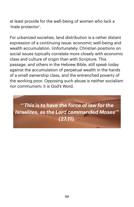at least provide for the well-being of women who lack a 'male protector'.

For urbanized societies, land distribution is a rather distant expression of a continuing issue: economic well-being and wealth accumulation. Unfortunately, Christian positions on social issues typically correlate more closely with economic class and culture of origin than with Scripture. This passage, and others in the Hebrew Bible, still speak today against the accumulation of perpetual wealth in the hands of a small ownership class, and the entrenched poverty of the working poor. Opposing such abuse is neither socialism nor communism; it is God's Word.

*"'This is to have the force of law for the Israelites, as the Lord commanded Moses'" (27:11).*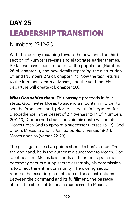# DAY 25 **LEADERSHIP TRANSITION**

## [Numbers 27:12](https://www.biblegateway.com/passage/?search=numbers+27:12-23&version=NIV)-23

With the journey resuming toward the new land, the third section of Numbers revisits and elaborates earlier themes. So far, we have seen a recount of the population (Numbers 26 cf. chapter 1), and new details regarding the distribution of land (Numbers 27a cf. chapter 14). Now the text returns to the imminent death of Moses, and the void that his departure will create (cf. chapter 20).

*What God said to them.* This passage proceeds in four steps. God invites Moses to ascend a mountain in order to see the Promised Land, prior to his death in judgment for disobedience in the Desert of Zin (verses 12-14 cf. Numbers 20:1-13). Concerned about the void his death will create, Moses urges God to appoint a successor (verses 15-17). God directs Moses to anoint Joshua publicly (verses 18-21). Moses does so (verses 22-23).

The passage makes two points about Joshua's status. On the one hand, he is the authorized successor to Moses: God identifies him; Moses lays hands on him; the appointment ceremony occurs during sacred assembly; his commission is to direct the entire community. The closing section records the exact implementation of these instructions. Between the command and its fulfillment, the passage afirms the status of Joshua as successor to Moses a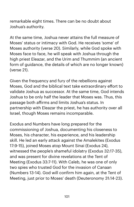remarkable eight times. There can be no doubt about Joshua's authority.

At the same time, Joshua never attains the full measure of Moses' status or intimacy with God. He receives 'some' of Moses authority (verse 20). Similarly, while God spoke with Moses face to face, he will speak with Joshua through the high priest Eleazar, and the Urim and Thummim (an ancient form of guidance, the details of which are no longer known) (verse 21).

Given the frequency and fury of the rebellions against Moses, God and the biblical text take extraordinary effort to validate Joshua as successor. At the same time, God intends Joshua to be only half the leader that Moses was. Thus, this passage both afirms and limits Joshua's status. In partnership with Eleazar the priest, he has authority over all Israel, though Moses remains incomparable.

Exodus and Numbers have long prepared for the commissioning of Joshua, documenting his closeness to Moses, his character, his experience, and his leadership skill. He led an early attack against the Amalekites (Exodus 17:9-15), joined Moses atop Mount Sinai (Exodus 24), witnessed the people's shameful idolatry (Exodus 32:17-35), and was present for divine revelations at the Tent of Meeting (Exodus 33:7-11). With Caleb, he was one of only two spies who trusted God for the invasion of Canaan (Numbers 13-14). God will confirm him again, at the Tent of Meeting, just prior to Moses' death (Deuteronomy 31:14-23).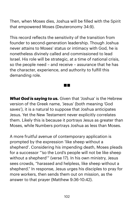Then, when Moses dies, Joshua will be filled with the Spirit that empowered Moses (Deuteronomy 34:9).

This record reflects the sensitivity of the transition from founder to second-generation leadership. Though Joshua never attains to Moses' status or intimacy with God, he is nonetheless divinely called and commissioned to lead Israel. His role will be strategic, at a time of national crisis, so the people need – and receive – assurance that he has the character, experience, and authority to fulfill this demanding role.

*What God is saying to us.* Given that 'Joshua' is the Hebrew version of the Greek name, 'Jesus' (both meaning 'God saves'), it is a natural to suppose that Joshua anticipates Jesus. Yet the New Testament never explicitly correlates them. Likely this is because it portrays Jesus as greater than Moses, while Numbers portrays Joshua as less than Moses.

A more fruitful avenue of contemporary application is prompted by the expression 'like sheep without a shepherd'. Considering his impending death, Moses pleads for a successor "'so the Lord's people will not be like sheep without a shepherd'" (verse 17). In his own ministry, Jesus sees crowds, "harassed and helpless, like sheep without a shepherd." In response, Jesus urges his disciples to pray for more workers, then sends them out on mission, as the answer to that prayer (Matthew 9:36-10:42).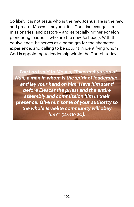So likely it is not Jesus who is the new Joshua. He is the new and greater Moses. If anyone, it is Christian evangelists, missionaries, and pastors – and especially higher echelon pioneering leaders – who are the new Joshua(s). With this equivalence, he serves as a paradigm for the character, experience, and calling to be sought in identifying whom God is appointing to leadership within the Church today.

*"The Lord said to Moses, 'Take Joshua son of Nun, a man in whom is the spirit of leadership, and lay your hand on him. Have him stand before Eleazar the priest and the entire assembly and commission him in their presence. Give him some of your authority so the whole Israelite community will obey him'" (27:18-20).*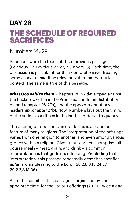## DAY 26 **THE SCHEDULE OF REQUIRED SACRIFICES**

#### [Numbers 28](https://www.biblegateway.com/passage/?search=numbers+28-29&version=NIV)-29

Sacrifices were the focus of three previous passages (Leviticus 1-7, Leviticus 22-23, Numbers 15). Each time, the discussion is partial, rather than comprehensive, treating some aspect of sacrifice relevant within that particular context. The same is true of this passage.

*What God said to them.* Chapters 26-27 developed against the backdrop of life in the Promised Land: the distribution of land (chapter 26-27a), and the appointment of new leadership (chapter 27b). Now, Numbers lays out the timing of the various sacrifices in the land, in order of frequency.

The offering of food and drink to deities is a common feature of many religions. The interpretation of the offerings varies from one religion to another, and even among various groups within a religion. Given that sacrifices comprise fullcourse meals – meat, grain, and drink – a common interpretation is that gods need feeding. Precluding that interpretation, this passage repeatedly describes sacrifice as 'an aroma pleasing to the Lord' (28:2,6,8,13,24,27; 29:2,6,8,13,36).

As to the specifics, this passage is organized by 'the appointed time' for the various offerings (28:2). Twice a day,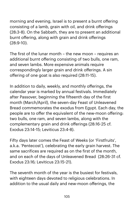morning and evening, Israel is to present a burnt offering consisting of a lamb, grain with oil, and drink offerings (28:3-8). On the Sabbath, they are to present an additional burnt offering, along with grain and drink offerings (28:9-10).

The first of the lunar month – the new moon – requires an additional burnt offering consisting of two bulls, one ram, and seven lambs. More expensive animals require correspondingly larger grain and drink offerings. A sin offering of one goat is also required (28:11-15).

In addition to daily, weekly, and monthly offerings, the calendar year is marked by annual festivals. Immediately after Passover, beginning the fifteenth day of the first month (March/April), the seven-day Feast of Unleavened Bread commemorates the exodus from Egypt. Each day, the people are to offer the equivalent of the new-moon offering: two bulls, one ram, and seven lambs, along with the complementary grain and drink offerings (28:16-25 cf. Exodus 23:14-15; Leviticus 23:4-8).

Fifty days later comes the Feast of Weeks (or 'Firstfruits', a.k.a. 'Pentecost'), celebrating the early grain harvest. The same sacrifices are required as on the first of the month, and on each of the days of Unleavened Bread (28:26-31 cf. Exodus 23:16; Leviticus 23:15-21).

The seventh month of the year is the busiest for festivals, with eighteen days devoted to religious celebrations. In addition to the usual daily and new-moon offerings, the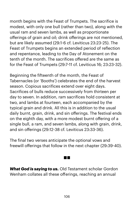month begins with the Feast of Trumpets. The sacrifice is modest, with only one bull (rather than two), along with the usual ram and seven lambs, as well as proportionate offerings of grain and oil; drink offerings are not mentioned, but are likely assumed (29:1-6 cf. Leviticus 23:23-25). The Feast of Trumpets begins an extended period of reflection and repentance, leading to the Day of Atonement on the tenth of the month. The sacrifices offered are the same as for the Feast of Trumpets (29:7-11 cf. Leviticus 16; 23:23-32).

Beginning the fifteenth of the month, the Feast of Tabernacles (or 'Booths') celebrates the end of the harvest season. Copious sacrifices extend over eight days. Sacrifices of bulls reduce successively from thirteen per day to seven. In addition, ram sacrifices hold consistent at two, and lambs at fourteen, each accompanied by the typical grain and drink. All this is in addition to the usual daily burnt, grain, drink, and sin offerings. The festival ends on the eighth day, with a more modest burnt offering of a single bull, a ram, and seven lambs, along with grain, drink, and sin offerings (29:12-38 cf. Leviticus 23:33-36).

The final two verses anticipate the optional vows and freewill offerings that follow in the next chapter (29:39-40).

*What God is saying to us.* Old Testament scholar Gordon Wenham collates all these offerings, reaching an annual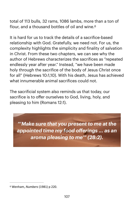<span id="page-106-1"></span>total of 113 bulls, 32 rams, 1086 lambs, more than a ton of flour, and a thousand bottles of oil and wine.[6](#page-106-0)

It is hard for us to track the details of a sacrifice-based relationship with God. Gratefully, we need not. For us, the complexity highlights the simplicity and finality of salvation in Christ. From these two chapters, we can see why the author of Hebrews characterizes the sacrifices as "repeated endlessly year after year." Instead, "we have been made holy through the sacrifice of the body of Jesus Christ once for all" (Hebrews 10:1,10). With his death, Jesus has achieved what innumerable animal sacrifices could not.

The sacrificial system also reminds us that today, our sacrifice is to offer ourselves to God, living, holy, and pleasing to him (Romans 12:1).

*"'Make sure that you present to me at the appointed time my food offerings ... as an aroma pleasing to me'" (28:2).*

<span id="page-106-0"></span>Wenham, *Numbers* (1981) p 220. [6](#page-106-1)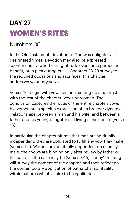# DAY 27 **WOMEN'S RITES**

## [Numbers 30](https://www.biblegateway.com/passage/?search=numbers+30&version=NIV)

In the Old Testament, devotion to God was obligatory at designated times. Devotion may also be expressed spontaneously, whether in gratitude over some particular benefit, or in plea during crisis. Chapters 28-29 surveyed the required occasions and sacrifices; this chapter addresses voluntary vows.

Verses 1-2 begin with vows by men, setting up a contrast with the rest of the chapter: vows by women. The conclusion captures the focus of the entire chapter: vows by women are a specific expression of an broader dynamic, "relationships between a man and his wife, and between a father and his young daughter still living in his house" (verse 16).

In particular, the chapter afirms that men are spiritually independent: they are obligated to fulfill any vow they make (verses 1-2). Women are spiritually dependent on a family male: their vows are binding only after review by father or husband, as the case may be (verses 3-15). Today's reading will survey the content of the chapter, and then reflect on the contemporary application of patriarchal spirituality within cultures which aspire to be egalitarian.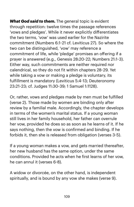*What God said to them.* The general topic is evident through repetition: twelve times the passage references 'vows and pledges'. While it never explicitly differentiates the two terms, 'vow' was used earlier for the Nazirite commitment (Numbers 6:1-21 cf. Leviticus 27). So where the two can be distinguished, 'vow' may reference a commitment of life, while 'pledge' promises an offering if a prayer is answered (e.g., Genesis 28:20-22; Numbers 21:1-3). Either way, such commitments are neither required nor calendrical, so they do not fit within chapters 28-29. Yet while taking a vow or making a pledge is voluntary, its fulfillment is mandatory (Leviticus 5:4-13; Deuteronomy 23:21-23; cf. Judges 11:30-39; 1 Samuel 1:1128).

Or, rather, vows and pledges made by men must be fulfilled (verse 2). Those made by women are binding only after review by a familial male. Accordingly, the chapter develops in terms of the women's marital status. If a young woman still lives in her family household, her father can overrule her vow, provided he does so as soon as he learns of it. If he says nothing, then the vow is confirmed and binding. If he forbids it, then she is released from obligation (verses 3-5).

If a young woman makes a vow, and gets married thereafter, her new husband has the same option, under the same conditions. Provided he acts when he first learns of her vow, he can annul it (verses 6-8).

A widow or divorcée, on the other hand, is independent spiritually, and is bound by any vow she makes (verse 9).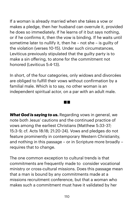If a woman is already married when she takes a vow or makes a pledge, then her husband can overrule it, provided he does so immediately. If he learns of it but says nothing, or if he confirms it, then the vow is binding. If he waits until sometime later to nullify it, then he – not she – is guilty of the violation (verses 10-15). Under such circumstances, Leviticus previously stipulated that the guilty party is to make a sin offering, to atone for the commitment not honored (Leviticus 5:4-13).

In short, of the four categories, only widows and divorcées are obliged to fulfill their vows without confirmation by a familial male. Which is to say, no other woman is an independent spiritual actor, on a par with an adult male.

*What God is saying to us.* Regarding vows in general, we note both Jesus' cautions and the continued practice of vows among the earliest Christians (Matthew 5:33-37; 15:3-9; cf. Acts 18:18; 21:20-24). Vows and pledges do not feature prominently in contemporary Western Christianity, and nothing in this passage – or in Scripture more broadly – requires that to change.

The one common exception to cultural trends is that commitments are frequently made to consider vocational ministry or cross-cultural missions. Does this passage mean that a man is bound by any commitments made at a missions recruitment conference, but that a woman who makes such a commitment must have it validated by her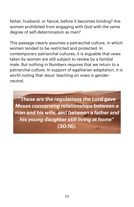father, husband, or fiancé, before it becomes binding? Are women prohibited from engaging with God with the same degree of self-determination as men?

This passage clearly assumes a patriarchal culture, in which women tended to be restricted and protected. In contemporary patriarchal cultures, it is arguable that vows taken by women are still subject to review by a familial male. But nothing in Numbers requires that we return to a patriarchal culture. In support of egalitarian adaptation, it is worth noting that Jesus' teaching on vows is genderneutral.

*"These are the regulations the Lord gave Moses concerning relationships between a man and his wife, and between a father and his young daughter still living at home" (30:16).*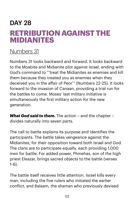# DAY 28 **RETRIBUTION AGAINST THE MIDIANITES**

### [Numbers 31](https://www.biblegateway.com/passage/?search=numbers+31&version=NIV)

Numbers 31 looks backward and forward. It looks backward to the Moabite and Midianite plot against Israel, ending with God's command to "'treat the Midianites as enemies and kill them because they treated you as enemies when they deceived you in the affair of Peor'" (Numbers 22-25). It looks forward to the invasion of Canaan, providing a trial run for the battles to come. Moses' last military initiative is simultaneously the first military action for the new generation.

*What God said to them.* The action – and the chapter – divides naturally into seven parts.

The call to battle explains its purpose and identifies the participants. The battle takes vengeance against the Midianites, for their opposition toward both Israel and God. The clans are to participate equally, each providing 1,000 men for battle. For added power, Phinehas, son of the high priest Eleazar, brings sacred objects to the battle (verses 1-6).

The battle itself receives little attention. Israel kills every man, including the five rulers who initiated the earlier conflict, and Balaam, the shaman who previously devised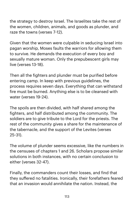the strategy to destroy Israel. The Israelites take the rest of the women, children, animals, and goods as plunder, and raze the towns (verses 7-12).

Given that the women were culpable in seducing Israel into pagan worship, Moses faults the warriors for allowing them to survive. He demands the execution of every boy and sexually mature woman. Only the prepubescent girls may live (verses 13-18).

Then all the fighters and plunder must be purified before entering camp. In keep with previous guidelines, the process requires seven days. Everything that can withstand fire must be burned. Anything else is to be cleansed with water (verses 19-24).

The spoils are then divided, with half shared among the fighters, and half distributed among the community. The soldiers are to give tribute to the Lord for the priests. The rest of the community gives a share for the maintenance of the tabernacle, and the support of the Levites (verses 25-31).

The volume of plunder seems excessive, like the numbers in the censuses of chapters 1 and 26. Scholars propose similar solutions in both instances, with no certain conclusion to either (verses 32-47).

Finally, the commanders count their losses, and find that they suffered no fatalities. Ironically, their forefathers feared that an invasion would annihilate the nation. Instead, the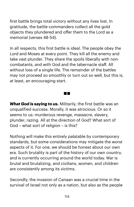first battle brings total victory without any lives lost. In gratitude, the battle commanders collect all the gold objects they plundered and offer them to the Lord as a memorial (verses 48-54).

In all respects, this first battle is ideal. The people obey the Lord and Moses at every point. They kill all the enemy and take vast plunder. They share the spoils liberally with noncombatants, and with God and the tabernacle staff. All without loss of a single life. The remainder of the battles may not proceed so smoothly or turn out so well, but this is, at least, an encouraging start.

**THE R** 

*What God is saying to us.* Militarily, the first battle was an unqualified success. Morally, it was atrocious. Or so it seems to us: murderous revenge, massacre, slavery, plunder, razing. All at the direction of God? What sort of God – what sort of religion – is this?

Nothing will make this entirely palatable by contemporary standards, but some considerations may mitigate the worst aspects of it. For one, we should be honest about our own era. Such brutality is part of the history of our own country, and is currently occurring around the world today. War is brutal and brutalizing, and civilians, women, and children are consistently among its victims.

Secondly, the invasion of Canaan was a crucial time in the survival of Israel not only as a nation, but also as the people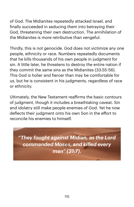of God. The Midianites repeatedly attacked Israel, and finally succeeded in seducing them into betraying their God, threatening their own destruction. The annihilation of the Midianites is more retributive than vengeful.

Thirdly, this is not genocide. God does not victimize any one people, ethnicity or race. Numbers repeatedly documents that he kills thousands of his own people in judgment for sin. A little later, he threatens to destroy the entire nation if they commit the same sins as the Midianites (33:55-56). This God is holier and fiercer than may be comfortable for us, but he is consistent in his judgments, regardless of race or ethnicity.

Ultimately, the New Testament reafirms the basic contours of judgment, though it includes a breathtaking caveat. Sin and idolatry still make people enemies of God. Yet he now deflects their judgment onto his own Son in the effort to reconcile his enemies to himself.

*"They fought against Midian, as the Lord commanded Moses, and killed every man" (31:7).*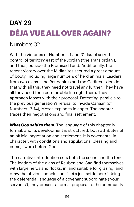# DAY 29 **DÉJA VUE ALL OVER AGAIN?**

## [Numbers 32](https://www.biblegateway.com/passage/?search=numbers+32&version=NIV)

With the victories of Numbers 21 and 31, Israel seized control of territory east of the Jordan ('the Transjordan'), and thus, outside the Promised Land. Additionally, the recent victory over the Midianites secured a great amount of booty, including large numbers of herd animals. Leaders from two clans – the Reubenites and the Gadites – decide that with all this, they need not travel any further. They have all they need for a comfortable life right there. They approach Moses with their proposal. Detecting parallels to the previous generation's refusal to invade Canaan (cf. Numbers 13-14), Moses explodes in anger. The chapter traces their negotiations and final settlement.

*What God said to them.* The language of this chapter is formal, and its development is structured, both attributes of an oficial negotiation and settlement. It is covenantal in character, with conditions and stipulations, blessing and curse, sworn before God.

The narrative introduction sets both the scene and the tone. The leaders of the clans of Reuben and Gad find themselves with large herds and flocks, in land suitable for grazing, and draw the obvious conclusion: "Let's just settle here." Using the deferential language of a covenant subordinate ('your servants'), they present a formal proposal to the community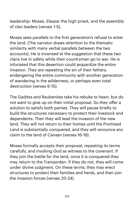leadership: Moses, Eleazar the high priest, and the assembly of clan leaders (verses 1-5).

Moses sees parallels to the first generation's refusal to enter the land. (The narrator draws attention to the thematic similarity with many verbal parallels between the two accounts). He is incensed at the suggestion that these two clans live in safety while their countrymen go to war. He is infuriated that this desertion could jeopardize the entire invasion. They are repeating the sin of their fathers, endangering the entire community with another generation of wandering in the wilderness, or perhaps even total destruction (verses 6-15).

The Gadites and Reubenites take his rebuke to heart, but do not want to give up on their initial proposal. So they offer a solution to satisfy both parties. They will pause briefly to build the structures necessary to protect their livestock and dependents. Then they will lead the invasion of the new land. They will not return to their homes until the Promised Land is substantially conquered, and they will renounce any claim to the land of Canaan (verses 16-19).

Moses formally accepts their proposal, repeating its terms carefully, and invoking God as witness to the covenant. If they join the battle for the land, once it is conquered they may return to the Transjordan. If they do not, they will come under divine judgment. On these terms, they may erect structures to protect their families and herds, and then join the invasion forces (verses 20-24).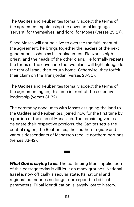The Gadites and Reubenites formally accept the terms of the agreement, again using the covenantal language 'servant' for themselves, and 'lord' for Moses (verses 25-27).

Since Moses will not be alive to oversee the fulfillment of the agreement, he brings together the leaders of the next generation: Joshua as his replacement, Eleazar as high priest, and the heads of the other clans. He formally repeats the terms of the covenant: the two clans will fight alongside the rest of Israel, then return home. Otherwise, they forfeit their claim on the Transjordan (verses 28-30).

The Gadites and Reubenites formally accept the terms of the agreement again, this time in front of the collective leadership (verses 31-32).

The ceremony concludes with Moses assigning the land to the Gadites and Reubenites, joined now for the first time by a portion of the clan of Manasseh. The remaining verses delegate their respective portions: the Gadites settle the central region; the Reubenites, the southern region; and various descendants of Manasseh receive northern portions (verses 33-42).

**What God is saying to us.** The continuing literal application of this passage today is dificult on many grounds. National Israel is now oficially a secular state. Its national and regional boundaries no longer correspond to biblical parameters. Tribal identification is largely lost to history.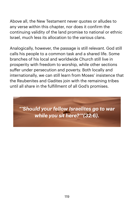Above all, the New Testament never quotes or alludes to any verse within this chapter, nor does it confirm the continuing validity of the land promise to national or ethnic Israel, much less its allocation to the various clans.

Analogically, however, the passage is still relevant. God still calls his people to a common task and a shared life. Some branches of his local and worldwide Church still live in prosperity with freedom to worship, while other sections suffer under persecution and poverty. Both locally and internationally, we can still learn from Moses' insistence that the Reubenites and Gadites join with the remaining tribes until all share in the fulfillment of all God's promises.

*"'Should your fellow Israelites go to war while you sit here?'"(32:6).*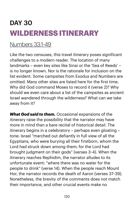# DAY 30 **WILDERNESS ITINERARY**

### [Numbers 33:1](https://www.biblegateway.com/passage/?search=numbers+33:1-49&version=NIV)-49

Like the two censuses, this travel itinerary poses significant challenges to a modern reader. The location of many landmarks – even key sites like Sinai or the 'Sea of Reeds' – is no longer known. Nor is the rationale for inclusion on the list evident. Some campsites from Exodus and Numbers are omitted. Many other sites are listed here for the first time. Why did God command Moses to record it (verse 2)? Why should we even care about a list of the campsites as ancient Israel wandered through the wilderness? What can we take away from it?

*What God said to them.* Occasional expansions of the itinerary raise the possibility that the narrator may have more in mind than a bare recital of historical detail. The itinerary begins in a celebratory – perhaps even gloating – tone: Israel "marched out defiantly in full view of all the Egyptians, who were burying all their firstborn, whom the Lord had struck down among them; for the Lord had brought judgment on their gods" (verses 3-4). When the itinerary reaches Rephidim, the narrator alludes to its unfortunate event: "where there was no water for the people to drink" (verse 14). When the people reach Mount Hor, the narrator records the death of Aaron (verses 37-39). Nonetheless, the brevity of the comments does not match their importance, and other crucial events make no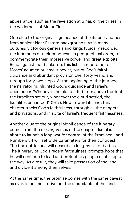appearance, such as the revelation at Sinai, or the crises in the wilderness of Sin or Zin.

One clue to the original significance of the itinerary comes from ancient Near Eastern backgrounds. As in many cultures, victorious generals and kings typically recorded the itineraries of their conquests in geographical order, to commemorate their impressive power and great exploits. Read against that backdrop, this list is a record not of Moses' acumen or Israel's power, but of God's faithful guidance and abundant provision over forty years, and through forty-two stops. At the beginning of the journey, the narrator highlighted God's guidance and Israel's obedience: "Whenever the cloud lifted from above the Tent, the Israelites set out; whenever the cloud settled, the Israelites encamped" (9:17). Now, toward its end, this chapter tracks God's faithfulness, through all the dangers and privations, and in spite of Israel's frequent faithlessness.

Another clue to the original significance of the itinerary comes from the closing verses of the chapter. Israel is about to launch a long war for control of the Promised Land. Numbers 34 will set wide parameters for their conquest. The book of Joshua will describe a lengthy list of battles. The itinerary of God's recent faithfulness prompts hope that he will continue to lead and protect his people each step of the way. As a result, they will take possession of the land, and divide it among themselves.

At the same time, the promise comes with the same caveat as ever. Israel must drive out the inhabitants of the land,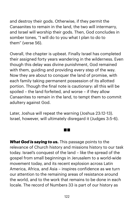and destroy their gods. Otherwise, if they permit the Canaanites to remain in the land, the two will intermarry, and Israel will worship their gods. Then, God concludes in somber tones, "I will do to you what I plan to do to them" (verse 56).

Overall, the chapter is upbeat. Finally Israel has completed their assigned forty years wandering in the wilderness. Even though this delay was divine punishment, God remained with them, guiding and providing every step of the way. Now they are about to conquer the land of promise, with each family taking permanent possession of its allotted portion. Though the final note is cautionary: all this will be spoiled – the land forfeited, and worse – if they allow Canaanites to remain in the land, to tempt them to commit adultery against God.

Later, Joshua will repeat the warning (Joshua 23:12-13). Israel, however, will ultimately disregard it (Judges 3:5-6).

*What God is saying to us.* This passage points to the relevance of Church history and missions history to our task today. Israel's conquest of the land – like the spread of the gospel from small beginnings in Jerusalem to a world-wide movement today, and its recent explosion across Latin America, Africa, and Asia – inspires confidence as we turn our attention to the remaining areas of resistance around the world, and to the work that remains to be done in each locale. The record of Numbers 33 is part of our history as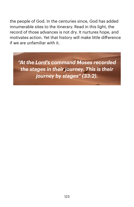the people of God. In the centuries since, God has added innumerable sites to the itinerary. Read in this light, the record of those advances is not dry. It nurtures hope, and motivates action. Yet that history will make little difference if we are unfamiliar with it.

*"At the Lord's command Moses recorded the stages in their journey. This is their journey by stages" (33:2).*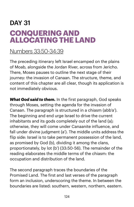# DAY 31 **CONQUERING AND ALLOCATING THE LAND**

#### [Numbers 33:50](https://www.biblegateway.com/passage/?search=numbers+33:50-34:39&version=NIV)-34:39

The preceding itinerary left Israel encamped on the plains of Moab, alongside the Jordan River, across from Jericho. There, Moses pauses to outline the next stage of their journey: the invasion of Canaan. The structure, theme, and content of this chapter are all clear, though its application is not immediately obvious.

*What God said to them.* In the first paragraph, God speaks through Moses, setting the agenda for the invasion of Canaan. The paragraph is structured in a chiasm (abb'a'). The beginning and end urge Israel to drive the current inhabitants and its gods completely out of the land (a); otherwise, they will come under Canaanite influence, and fall under divine judgment (a'). The middle units address the flip side: Israel is to take permanent possession of the land, as promised by God (b), dividing it among the clans, proportionately, by lot (b') (33:50-56). The remainder of the reading elaborates the middle terms of the chiasm: the occupation and distribution of the land.

The second paragraph traces the boundaries of the Promised Land. The first and last verses of the paragraph form an inclusion, underscoring the theme. In between the boundaries are listed: southern, western, northern, eastern.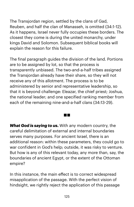The Transjordan region, settled by the clans of Gad, Reuben, and half the clan of Manasseh, is omitted (34:1-12). As it happens, Israel never fully occupies these borders. The closest they come is during the united monarchy, under kings David and Solomon. Subsequent biblical books will explain the reason for this failure.

The final paragraph guides the division of the land. Portions are to be assigned by lot, so that the process is transparently unbiased. The two-and-a-half tribes assigned the Transjordan already have their share, so they will not receive any of this allotment. The process is to be administered by senior and representative leadership, so that it is beyond challenge: Eleazar, the chief priest; Joshua, the national leader; and one specified ranking member from each of the remaining nine-and-a-half clans (34:13-29).

*What God is saying to us.* With any modern country, the careful delimitation of external and internal boundaries serves many purposes. For ancient Israel, there is an additional reason: within these parameters, they could go to war confident in God's help; outside, it was risky to venture. But how is any of this relevant today, any more than, say, the boundaries of ancient Egypt, or the extent of the Ottoman empire?

**Contract** 

In this instance, the main effect is to correct widespread misapplication of the passage. With the perfect vision of hindsight, we rightly reject the application of this passage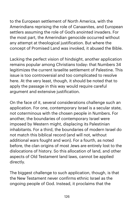to the European settlement of North America, with the Amerindians reprising the role of Canaanites, and European settlers assuming the role of God's anointed invaders. For the most part, the Amerindian genocide occurred without any attempt at theological justification. But where the concept of Promised Land was invoked, it abused the Bible.

Lacking the perfect vision of hindsight, another application remains popular among Christians today: that Numbers 34 legitimizes the current Israelite settlement of Palestine. This issue is too controversial and too complicated to resolve here. At the very least, though, it should be noted that to apply the passage in this way would require careful argument and extensive justification.

On the face of it, several considerations challenge such an application. For one, contemporary Israel is a secular state, not coterminous with the chosen people in Numbers. For another, the boundaries of contemporary Israel were imposed by Western might, displacing its Palestinian inhabitants. For a third, the boundaries of modern Israel do not match this biblical record (and will not, without additional wars fought and won). For a fourth, as noted before, the clan origins of most Jews are entirely lost to the dislocations of history. So this allocation of land, and other aspects of Old Testament land laws, cannot be applied directly.

The biggest challenge to such application, though, is that the New Testament never confirms ethnic Israel as the ongoing people of God. Instead, it proclaims that the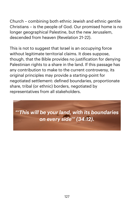Church – combining both ethnic Jewish and ethnic gentile Christians – is the people of God. Our promised home is no longer geographical Palestine, but the new Jerusalem, descended from heaven (Revelation 21-22).

This is not to suggest that Israel is an occupying force without legitimate territorial claims. It does suppose, though, that the Bible provides no justification for denying Palestinian rights to a share in the land. If this passage has any contribution to make to the current controversy, its original principles may provide a starting-point for negotiated settlement: defined boundaries, proportionate share, tribal (or ethnic) borders, negotiated by representatives from all stakeholders.

*"'This will be your land, with its boundaries on every side'" (34:12).*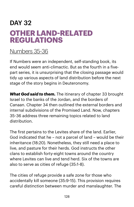## DAY 32 **OTHER LAND-RELATED REGULATIONS**

### [Numbers 35](https://www.biblegateway.com/passage/?search=numbers+35-36&version=NIV)-36

If Numbers were an independent, self-standing book, its end would seem anti-climactic. But as the fourth in a fivepart series, it is unsurprising that the closing passage would tidy up various aspects of land distribution before the next stage of the story begins in Deuteronomy.

*What God said to them.* The itinerary of chapter 33 brought Israel to the banks of the Jordan, and the borders of Canaan. Chapter 34 then outlined the external borders and internal subdivisions of the Promised Land. Now, chapters 35-36 address three remaining topics related to land distribution.

The first pertains to the Levites share of the land. Earlier, God indicated that he – not a parcel of land – would be their inheritance (18:20). Nonetheless, they still need a place to live, and pasture for their herds. God instructs the other clans to establish forty-eight towns around the country where Levites can live and tend herd. Six of the towns are also to serve as cities of refuge (35:1-8).

The cities of refuge provide a safe zone for those who accidentally kill someone (35:9-15). This provision requires careful distinction between murder and manslaughter. The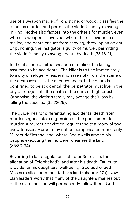use of a weapon made of iron, stone, or wood, classifies the death as murder, and permits the victim's family to avenge in kind. Motive also factors into the criteria for murder: even when no weapon is involved, where there is evidence of malice, and death ensues from shoving, throwing an object, or punching, the instigator is guilty of murder, permitting the victim's family to avenge death by death (35:16-21).

In the absence of either weapon or malice, the killing is assumed to be accidental. The killer is to flee immediately to a city of refuge. A leadership assembly from the scene of the death assesses the circumstances. If the death is confirmed to be accidental, the perpetrator must live in the city of refuge until the death of the current high priest. Otherwise, the victim's family may avenge their loss by killing the accused (35:22-29).

The guidelines for differentiating accidental death from murder segues into a digression on the punishment for murder. A murder conviction requires the testimony of two eyewitnesses. Murder may not be compensated monetarily. Murder defiles the land, where God dwells among his people; executing the murderer cleanses the land (35:30-34).

Reverting to land regulations, chapter 36 revisits the allocation of Zelophehad's land after his death. Earlier, to provide for his daughters' well-being, God authorized Moses to allot them their father's land (chapter 27a). Now clan leaders worry that if any of the daughters marries out of the clan, the land will permanently follow them. God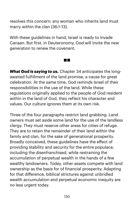resolves this concern: any woman who inherits land must marry within the clan (36:1-13).

With these guidelines in hand, Israel is ready to invade Canaan. But first, in Deuteronomy, God will invite the new generation to renew the covenant.

**THE R** 

*What God is saying to us.* Chapter 34 anticipates the longawaited fulfillment of the land promise, a cause for great celebration. At the same time, God reminds Israel of their responsibilities in the use of the land. While these regulations originally applied to the people of God resident within in the land of God, they reflect his character and values. Our culture ignores them at its own risk.

Three of the four paragraphs restrict land grabbing. Land owners must set aside some land for the use of the landless clergy. They must reserve other areas for cities of refuge. They are to retain the remainder of their land within the family and clan, for the sake of generational prosperity. Broadly conceived, these guidelines have the effect of providing stability and security for the entire populace, including the disenfranchised, while restraining the accumulation of perpetual wealth in the hands of a few wealthy landowners. Today, other assets compete with land ownership as the basis for of financial prosperity. Adapting for that difference, biblical strictures against unbridled wealth accumulation and perpetual economic inequity are no less urgent today.